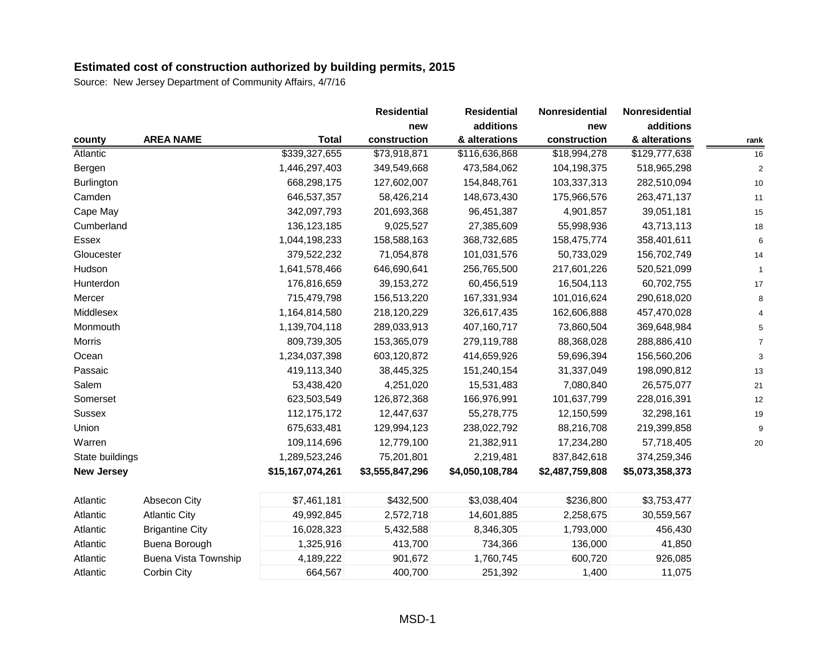|                   |                        |                  | <b>Residential</b> | <b>Residential</b> | Nonresidential  | <b>Nonresidential</b> |      |
|-------------------|------------------------|------------------|--------------------|--------------------|-----------------|-----------------------|------|
|                   |                        |                  | new                | additions          | new             | additions             |      |
| county            | <b>AREA NAME</b>       | <b>Total</b>     | construction       | & alterations      | construction    | & alterations         | rank |
| Atlantic          |                        | \$339,327,655    | \$73,918,871       | \$116,636,868      | \$18,994,278    | \$129,777,638         | 16   |
| Bergen            |                        | 1,446,297,403    | 349,549,668        | 473,584,062        | 104,198,375     | 518,965,298           | 2    |
| Burlington        |                        | 668,298,175      | 127,602,007        | 154,848,761        | 103,337,313     | 282,510,094           | 10   |
| Camden            |                        | 646,537,357      | 58,426,214         | 148,673,430        | 175,966,576     | 263,471,137           | 11   |
| Cape May          |                        | 342,097,793      | 201,693,368        | 96,451,387         | 4,901,857       | 39,051,181            | 15   |
| Cumberland        |                        | 136, 123, 185    | 9,025,527          | 27,385,609         | 55,998,936      | 43,713,113            | 18   |
| Essex             |                        | 1,044,198,233    | 158,588,163        | 368,732,685        | 158,475,774     | 358,401,611           | 6    |
| Gloucester        |                        | 379,522,232      | 71,054,878         | 101,031,576        | 50,733,029      | 156,702,749           | 14   |
| Hudson            |                        | 1,641,578,466    | 646,690,641        | 256,765,500        | 217,601,226     | 520,521,099           |      |
| Hunterdon         |                        | 176,816,659      | 39, 153, 272       | 60,456,519         | 16,504,113      | 60,702,755            | 17   |
| Mercer            |                        | 715,479,798      | 156,513,220        | 167,331,934        | 101,016,624     | 290,618,020           | 8    |
| Middlesex         |                        | 1,164,814,580    | 218,120,229        | 326,617,435        | 162,606,888     | 457,470,028           |      |
| Monmouth          |                        | 1,139,704,118    | 289,033,913        | 407,160,717        | 73,860,504      | 369,648,984           |      |
| <b>Morris</b>     |                        | 809,739,305      | 153,365,079        | 279,119,788        | 88,368,028      | 288,886,410           |      |
| Ocean             |                        | 1,234,037,398    | 603,120,872        | 414,659,926        | 59,696,394      | 156,560,206           | 3    |
| Passaic           |                        | 419,113,340      | 38,445,325         | 151,240,154        | 31,337,049      | 198,090,812           | 13   |
| Salem             |                        | 53,438,420       | 4,251,020          | 15,531,483         | 7,080,840       | 26,575,077            | 21   |
| Somerset          |                        | 623,503,549      | 126,872,368        | 166,976,991        | 101,637,799     | 228,016,391           | 12   |
| <b>Sussex</b>     |                        | 112, 175, 172    | 12,447,637         | 55,278,775         | 12,150,599      | 32,298,161            | 19   |
| Union             |                        | 675,633,481      | 129,994,123        | 238,022,792        | 88,216,708      | 219,399,858           | 9    |
| Warren            |                        | 109,114,696      | 12,779,100         | 21,382,911         | 17,234,280      | 57,718,405            | 20   |
| State buildings   |                        | 1,289,523,246    | 75,201,801         | 2,219,481          | 837,842,618     | 374,259,346           |      |
| <b>New Jersey</b> |                        | \$15,167,074,261 | \$3,555,847,296    | \$4,050,108,784    | \$2,487,759,808 | \$5,073,358,373       |      |
| Atlantic          | Absecon City           | \$7,461,181      | \$432,500          | \$3,038,404        | \$236,800       | \$3,753,477           |      |
| Atlantic          | <b>Atlantic City</b>   | 49,992,845       | 2,572,718          | 14,601,885         | 2,258,675       | 30,559,567            |      |
| Atlantic          | <b>Brigantine City</b> | 16,028,323       | 5,432,588          | 8,346,305          | 1,793,000       | 456,430               |      |
| Atlantic          | Buena Borough          | 1,325,916        | 413,700            | 734,366            | 136,000         | 41,850                |      |
| Atlantic          | Buena Vista Township   | 4,189,222        | 901,672            | 1,760,745          | 600,720         | 926,085               |      |
| Atlantic          | Corbin City            | 664,567          | 400,700            | 251,392            | 1,400           | 11,075                |      |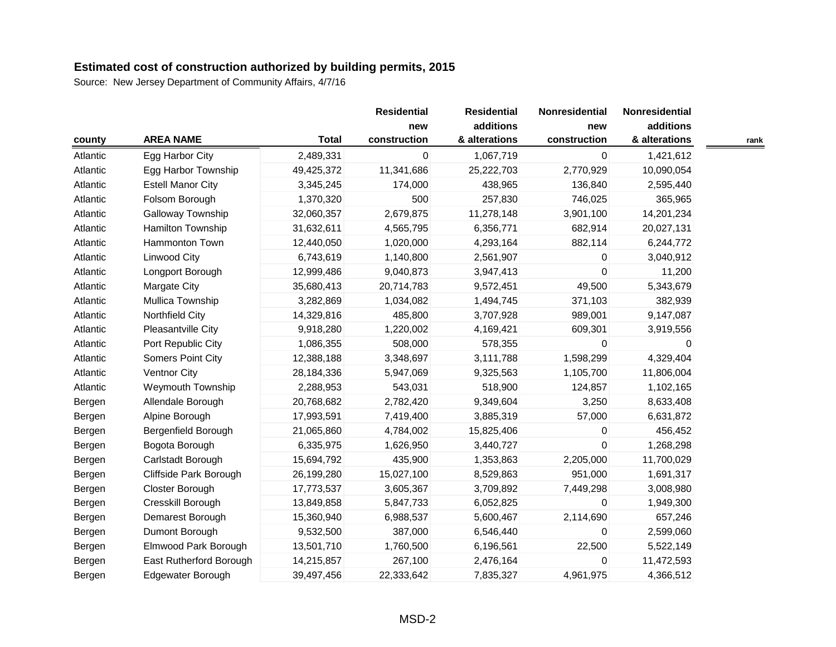|          |                          |              | <b>Residential</b> | <b>Residential</b> | Nonresidential | Nonresidential |      |
|----------|--------------------------|--------------|--------------------|--------------------|----------------|----------------|------|
|          |                          |              | new                | additions          | new            | additions      |      |
| county   | <b>AREA NAME</b>         | <b>Total</b> | construction       | & alterations      | construction   | & alterations  | rank |
| Atlantic | Egg Harbor City          | 2,489,331    | 0                  | 1,067,719          | 0              | 1,421,612      |      |
| Atlantic | Egg Harbor Township      | 49,425,372   | 11,341,686         | 25,222,703         | 2,770,929      | 10,090,054     |      |
| Atlantic | <b>Estell Manor City</b> | 3,345,245    | 174,000            | 438,965            | 136,840        | 2,595,440      |      |
| Atlantic | Folsom Borough           | 1,370,320    | 500                | 257,830            | 746,025        | 365,965        |      |
| Atlantic | Galloway Township        | 32,060,357   | 2,679,875          | 11,278,148         | 3,901,100      | 14,201,234     |      |
| Atlantic | Hamilton Township        | 31,632,611   | 4,565,795          | 6,356,771          | 682,914        | 20,027,131     |      |
| Atlantic | <b>Hammonton Town</b>    | 12,440,050   | 1,020,000          | 4,293,164          | 882,114        | 6,244,772      |      |
| Atlantic | Linwood City             | 6,743,619    | 1,140,800          | 2,561,907          | 0              | 3,040,912      |      |
| Atlantic | Longport Borough         | 12,999,486   | 9,040,873          | 3,947,413          | $\mathbf{0}$   | 11,200         |      |
| Atlantic | Margate City             | 35,680,413   | 20,714,783         | 9,572,451          | 49,500         | 5,343,679      |      |
| Atlantic | Mullica Township         | 3,282,869    | 1,034,082          | 1,494,745          | 371,103        | 382,939        |      |
| Atlantic | Northfield City          | 14,329,816   | 485,800            | 3,707,928          | 989,001        | 9,147,087      |      |
| Atlantic | Pleasantville City       | 9,918,280    | 1,220,002          | 4,169,421          | 609,301        | 3,919,556      |      |
| Atlantic | Port Republic City       | 1,086,355    | 508,000            | 578,355            | $\Omega$       | 0              |      |
| Atlantic | Somers Point City        | 12,388,188   | 3,348,697          | 3,111,788          | 1,598,299      | 4,329,404      |      |
| Atlantic | Ventnor City             | 28,184,336   | 5,947,069          | 9,325,563          | 1,105,700      | 11,806,004     |      |
| Atlantic | Weymouth Township        | 2,288,953    | 543,031            | 518,900            | 124,857        | 1,102,165      |      |
| Bergen   | Allendale Borough        | 20,768,682   | 2,782,420          | 9,349,604          | 3,250          | 8,633,408      |      |
| Bergen   | Alpine Borough           | 17,993,591   | 7,419,400          | 3,885,319          | 57,000         | 6,631,872      |      |
| Bergen   | Bergenfield Borough      | 21,065,860   | 4,784,002          | 15,825,406         | 0              | 456,452        |      |
| Bergen   | Bogota Borough           | 6,335,975    | 1,626,950          | 3,440,727          | $\Omega$       | 1,268,298      |      |
| Bergen   | Carlstadt Borough        | 15,694,792   | 435,900            | 1,353,863          | 2,205,000      | 11,700,029     |      |
| Bergen   | Cliffside Park Borough   | 26,199,280   | 15,027,100         | 8,529,863          | 951,000        | 1,691,317      |      |
| Bergen   | Closter Borough          | 17,773,537   | 3,605,367          | 3,709,892          | 7,449,298      | 3,008,980      |      |
| Bergen   | Cresskill Borough        | 13,849,858   | 5,847,733          | 6,052,825          | $\Omega$       | 1,949,300      |      |
| Bergen   | Demarest Borough         | 15,360,940   | 6,988,537          | 5,600,467          | 2,114,690      | 657,246        |      |
| Bergen   | Dumont Borough           | 9,532,500    | 387,000            | 6,546,440          | $\mathbf{0}$   | 2,599,060      |      |
| Bergen   | Elmwood Park Borough     | 13,501,710   | 1,760,500          | 6,196,561          | 22,500         | 5,522,149      |      |
| Bergen   | East Rutherford Borough  | 14,215,857   | 267,100            | 2,476,164          | $\mathbf 0$    | 11,472,593     |      |
| Bergen   | Edgewater Borough        | 39,497,456   | 22,333,642         | 7,835,327          | 4,961,975      | 4,366,512      |      |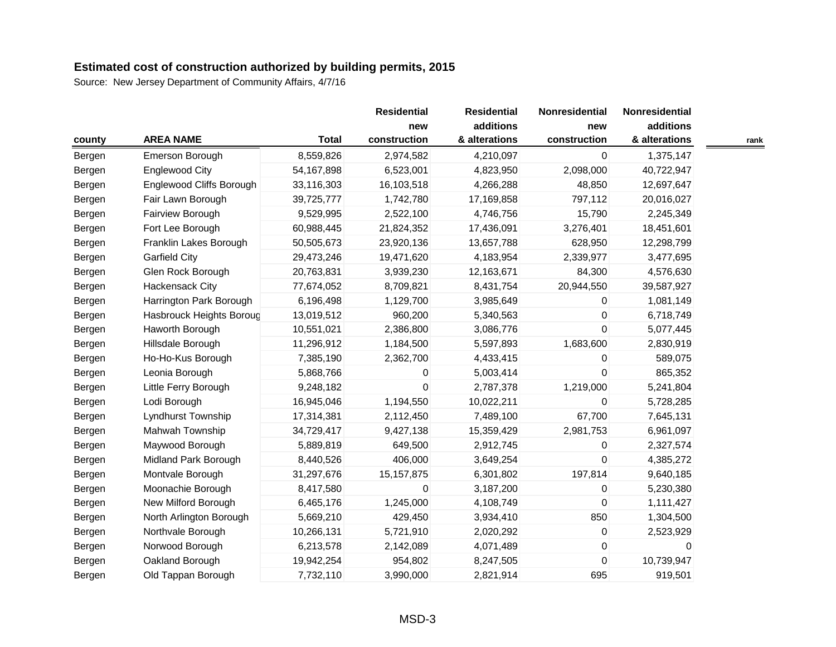|        |                          |              | <b>Residential</b> | <b>Residential</b> | Nonresidential | Nonresidential |      |
|--------|--------------------------|--------------|--------------------|--------------------|----------------|----------------|------|
|        |                          |              | new                | additions          | new            | additions      |      |
| county | <b>AREA NAME</b>         | <b>Total</b> | construction       | & alterations      | construction   | & alterations  | rank |
| Bergen | Emerson Borough          | 8,559,826    | 2,974,582          | 4,210,097          | $\mathbf 0$    | 1,375,147      |      |
| Bergen | <b>Englewood City</b>    | 54,167,898   | 6,523,001          | 4,823,950          | 2,098,000      | 40,722,947     |      |
| Bergen | Englewood Cliffs Borough | 33,116,303   | 16,103,518         | 4,266,288          | 48,850         | 12,697,647     |      |
| Bergen | Fair Lawn Borough        | 39,725,777   | 1,742,780          | 17,169,858         | 797,112        | 20,016,027     |      |
| Bergen | Fairview Borough         | 9,529,995    | 2,522,100          | 4,746,756          | 15,790         | 2,245,349      |      |
| Bergen | Fort Lee Borough         | 60,988,445   | 21,824,352         | 17,436,091         | 3,276,401      | 18,451,601     |      |
| Bergen | Franklin Lakes Borough   | 50,505,673   | 23,920,136         | 13,657,788         | 628,950        | 12,298,799     |      |
| Bergen | <b>Garfield City</b>     | 29,473,246   | 19,471,620         | 4,183,954          | 2,339,977      | 3,477,695      |      |
| Bergen | Glen Rock Borough        | 20,763,831   | 3,939,230          | 12,163,671         | 84,300         | 4,576,630      |      |
| Bergen | Hackensack City          | 77,674,052   | 8,709,821          | 8,431,754          | 20,944,550     | 39,587,927     |      |
| Bergen | Harrington Park Borough  | 6,196,498    | 1,129,700          | 3,985,649          | 0              | 1,081,149      |      |
| Bergen | Hasbrouck Heights Boroug | 13,019,512   | 960,200            | 5,340,563          | 0              | 6,718,749      |      |
| Bergen | Haworth Borough          | 10,551,021   | 2,386,800          | 3,086,776          | 0              | 5,077,445      |      |
| Bergen | Hillsdale Borough        | 11,296,912   | 1,184,500          | 5,597,893          | 1,683,600      | 2,830,919      |      |
| Bergen | Ho-Ho-Kus Borough        | 7,385,190    | 2,362,700          | 4,433,415          | 0              | 589,075        |      |
| Bergen | Leonia Borough           | 5,868,766    | 0                  | 5,003,414          | 0              | 865,352        |      |
| Bergen | Little Ferry Borough     | 9,248,182    | $\mathbf 0$        | 2,787,378          | 1,219,000      | 5,241,804      |      |
| Bergen | Lodi Borough             | 16,945,046   | 1,194,550          | 10,022,211         | 0              | 5,728,285      |      |
| Bergen | Lyndhurst Township       | 17,314,381   | 2,112,450          | 7,489,100          | 67,700         | 7,645,131      |      |
| Bergen | Mahwah Township          | 34,729,417   | 9,427,138          | 15,359,429         | 2,981,753      | 6,961,097      |      |
| Bergen | Maywood Borough          | 5,889,819    | 649,500            | 2,912,745          | 0              | 2,327,574      |      |
| Bergen | Midland Park Borough     | 8,440,526    | 406,000            | 3,649,254          | 0              | 4,385,272      |      |
| Bergen | Montvale Borough         | 31,297,676   | 15, 157, 875       | 6,301,802          | 197,814        | 9,640,185      |      |
| Bergen | Moonachie Borough        | 8,417,580    | 0                  | 3,187,200          | 0              | 5,230,380      |      |
| Bergen | New Milford Borough      | 6,465,176    | 1,245,000          | 4,108,749          | 0              | 1,111,427      |      |
| Bergen | North Arlington Borough  | 5,669,210    | 429,450            | 3,934,410          | 850            | 1,304,500      |      |
| Bergen | Northvale Borough        | 10,266,131   | 5,721,910          | 2,020,292          | 0              | 2,523,929      |      |
| Bergen | Norwood Borough          | 6,213,578    | 2,142,089          | 4,071,489          | 0              | $\Omega$       |      |
| Bergen | Oakland Borough          | 19,942,254   | 954,802            | 8,247,505          | 0              | 10,739,947     |      |
| Bergen | Old Tappan Borough       | 7,732,110    | 3,990,000          | 2,821,914          | 695            | 919,501        |      |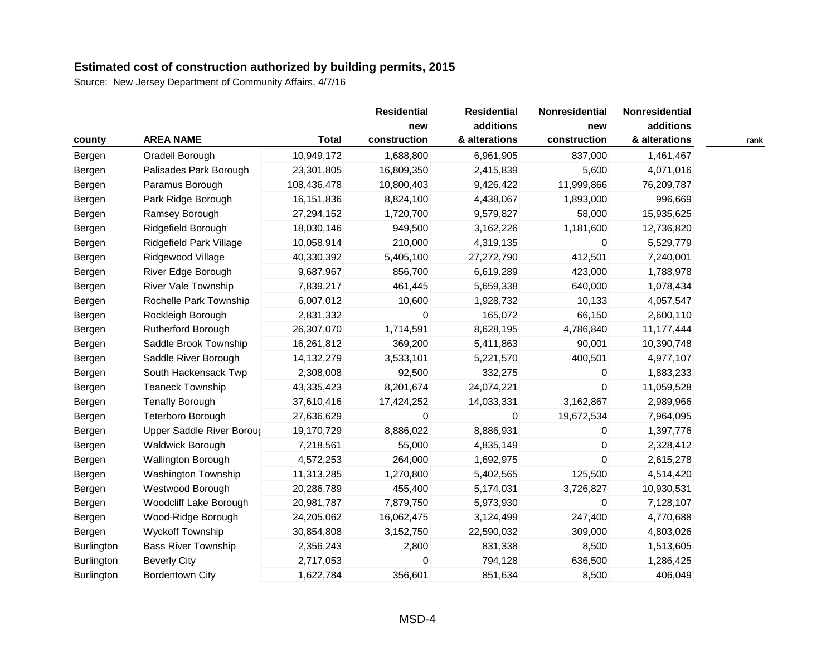|                   |                            |              | <b>Residential</b><br>new | <b>Residential</b><br>additions | Nonresidential<br>new | Nonresidential<br>additions |      |
|-------------------|----------------------------|--------------|---------------------------|---------------------------------|-----------------------|-----------------------------|------|
| county            | <b>AREA NAME</b>           | <b>Total</b> | construction              | & alterations                   | construction          | & alterations               | rank |
| Bergen            | Oradell Borough            | 10,949,172   | 1,688,800                 | 6,961,905                       | 837,000               | 1,461,467                   |      |
| Bergen            | Palisades Park Borough     | 23,301,805   | 16,809,350                | 2,415,839                       | 5,600                 | 4,071,016                   |      |
| Bergen            | Paramus Borough            | 108,436,478  | 10,800,403                | 9,426,422                       | 11,999,866            | 76,209,787                  |      |
| Bergen            | Park Ridge Borough         | 16,151,836   | 8,824,100                 | 4,438,067                       | 1,893,000             | 996,669                     |      |
| Bergen            | Ramsey Borough             | 27,294,152   | 1,720,700                 | 9,579,827                       | 58,000                | 15,935,625                  |      |
| Bergen            | Ridgefield Borough         | 18,030,146   | 949,500                   | 3,162,226                       | 1,181,600             | 12,736,820                  |      |
| Bergen            | Ridgefield Park Village    | 10,058,914   | 210,000                   | 4,319,135                       | $\Omega$              | 5,529,779                   |      |
| Bergen            | Ridgewood Village          | 40,330,392   | 5,405,100                 | 27,272,790                      | 412,501               | 7,240,001                   |      |
| Bergen            | River Edge Borough         | 9,687,967    | 856,700                   | 6,619,289                       | 423,000               | 1,788,978                   |      |
| Bergen            | <b>River Vale Township</b> | 7,839,217    | 461,445                   | 5,659,338                       | 640,000               | 1,078,434                   |      |
| Bergen            | Rochelle Park Township     | 6,007,012    | 10,600                    | 1,928,732                       | 10,133                | 4,057,547                   |      |
| Bergen            | Rockleigh Borough          | 2,831,332    | 0                         | 165,072                         | 66,150                | 2,600,110                   |      |
| Bergen            | Rutherford Borough         | 26,307,070   | 1,714,591                 | 8,628,195                       | 4,786,840             | 11,177,444                  |      |
| Bergen            | Saddle Brook Township      | 16,261,812   | 369,200                   | 5,411,863                       | 90,001                | 10,390,748                  |      |
| Bergen            | Saddle River Borough       | 14,132,279   | 3,533,101                 | 5,221,570                       | 400,501               | 4,977,107                   |      |
| Bergen            | South Hackensack Twp       | 2,308,008    | 92,500                    | 332,275                         | 0                     | 1,883,233                   |      |
| Bergen            | <b>Teaneck Township</b>    | 43,335,423   | 8,201,674                 | 24,074,221                      | 0                     | 11,059,528                  |      |
| Bergen            | <b>Tenafly Borough</b>     | 37,610,416   | 17,424,252                | 14,033,331                      | 3,162,867             | 2,989,966                   |      |
| Bergen            | Teterboro Borough          | 27,636,629   | 0                         | $\overline{0}$                  | 19,672,534            | 7,964,095                   |      |
| Bergen            | Upper Saddle River Boroug  | 19,170,729   | 8,886,022                 | 8,886,931                       | 0                     | 1,397,776                   |      |
| Bergen            | <b>Waldwick Borough</b>    | 7,218,561    | 55,000                    | 4,835,149                       | 0                     | 2,328,412                   |      |
| Bergen            | <b>Wallington Borough</b>  | 4,572,253    | 264,000                   | 1,692,975                       | $\mathbf 0$           | 2,615,278                   |      |
| Bergen            | Washington Township        | 11,313,285   | 1,270,800                 | 5,402,565                       | 125,500               | 4,514,420                   |      |
| Bergen            | Westwood Borough           | 20,286,789   | 455,400                   | 5,174,031                       | 3,726,827             | 10,930,531                  |      |
| Bergen            | Woodcliff Lake Borough     | 20,981,787   | 7,879,750                 | 5,973,930                       | $\mathbf 0$           | 7,128,107                   |      |
| Bergen            | Wood-Ridge Borough         | 24,205,062   | 16,062,475                | 3,124,499                       | 247,400               | 4,770,688                   |      |
| Bergen            | <b>Wyckoff Township</b>    | 30,854,808   | 3,152,750                 | 22,590,032                      | 309,000               | 4,803,026                   |      |
| <b>Burlington</b> | <b>Bass River Township</b> | 2,356,243    | 2,800                     | 831,338                         | 8,500                 | 1,513,605                   |      |
| Burlington        | <b>Beverly City</b>        | 2,717,053    | 0                         | 794,128                         | 636,500               | 1,286,425                   |      |
| <b>Burlington</b> | <b>Bordentown City</b>     | 1,622,784    | 356,601                   | 851,634                         | 8,500                 | 406,049                     |      |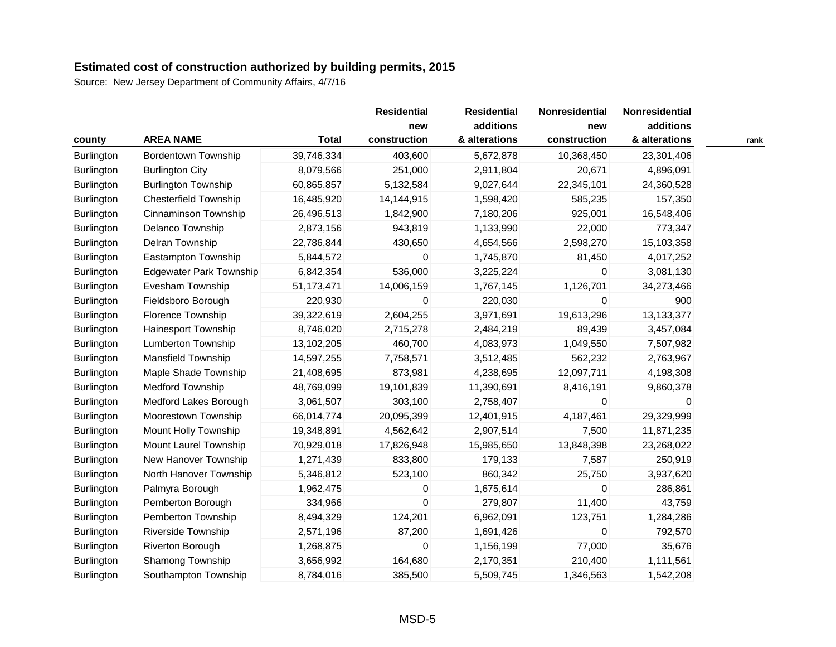|                   |                                |              | <b>Residential</b> | <b>Residential</b> | Nonresidential | Nonresidential |      |
|-------------------|--------------------------------|--------------|--------------------|--------------------|----------------|----------------|------|
|                   |                                |              | new                | additions          | new            | additions      |      |
| county            | <b>AREA NAME</b>               | <b>Total</b> | construction       | & alterations      | construction   | & alterations  | rank |
| Burlington        | <b>Bordentown Township</b>     | 39,746,334   | 403,600            | 5,672,878          | 10,368,450     | 23,301,406     |      |
| <b>Burlington</b> | <b>Burlington City</b>         | 8,079,566    | 251,000            | 2,911,804          | 20,671         | 4,896,091      |      |
| <b>Burlington</b> | <b>Burlington Township</b>     | 60,865,857   | 5,132,584          | 9,027,644          | 22,345,101     | 24,360,528     |      |
| Burlington        | <b>Chesterfield Township</b>   | 16,485,920   | 14,144,915         | 1,598,420          | 585,235        | 157,350        |      |
| <b>Burlington</b> | Cinnaminson Township           | 26,496,513   | 1,842,900          | 7,180,206          | 925,001        | 16,548,406     |      |
| Burlington        | Delanco Township               | 2,873,156    | 943,819            | 1,133,990          | 22,000         | 773,347        |      |
| Burlington        | Delran Township                | 22,786,844   | 430,650            | 4,654,566          | 2,598,270      | 15,103,358     |      |
| Burlington        | Eastampton Township            | 5,844,572    | 0                  | 1,745,870          | 81,450         | 4,017,252      |      |
| Burlington        | <b>Edgewater Park Township</b> | 6,842,354    | 536,000            | 3,225,224          | 0              | 3,081,130      |      |
| Burlington        | Evesham Township               | 51,173,471   | 14,006,159         | 1,767,145          | 1,126,701      | 34,273,466     |      |
| Burlington        | Fieldsboro Borough             | 220,930      | 0                  | 220,030            | 0              | 900            |      |
| <b>Burlington</b> | Florence Township              | 39,322,619   | 2,604,255          | 3,971,691          | 19,613,296     | 13,133,377     |      |
| Burlington        | Hainesport Township            | 8,746,020    | 2,715,278          | 2,484,219          | 89,439         | 3,457,084      |      |
| Burlington        | Lumberton Township             | 13,102,205   | 460,700            | 4,083,973          | 1,049,550      | 7,507,982      |      |
| <b>Burlington</b> | <b>Mansfield Township</b>      | 14,597,255   | 7,758,571          | 3,512,485          | 562,232        | 2,763,967      |      |
| Burlington        | Maple Shade Township           | 21,408,695   | 873,981            | 4,238,695          | 12,097,711     | 4,198,308      |      |
| Burlington        | <b>Medford Township</b>        | 48,769,099   | 19,101,839         | 11,390,691         | 8,416,191      | 9,860,378      |      |
| Burlington        | Medford Lakes Borough          | 3,061,507    | 303,100            | 2,758,407          | 0              | $\Omega$       |      |
| <b>Burlington</b> | Moorestown Township            | 66,014,774   | 20,095,399         | 12,401,915         | 4,187,461      | 29,329,999     |      |
| Burlington        | Mount Holly Township           | 19,348,891   | 4,562,642          | 2,907,514          | 7,500          | 11,871,235     |      |
| Burlington        | Mount Laurel Township          | 70,929,018   | 17,826,948         | 15,985,650         | 13,848,398     | 23,268,022     |      |
| Burlington        | New Hanover Township           | 1,271,439    | 833,800            | 179,133            | 7,587          | 250,919        |      |
| Burlington        | North Hanover Township         | 5,346,812    | 523,100            | 860,342            | 25,750         | 3,937,620      |      |
| Burlington        | Palmyra Borough                | 1,962,475    | 0                  | 1,675,614          | $\mathbf 0$    | 286,861        |      |
| Burlington        | Pemberton Borough              | 334,966      | 0                  | 279,807            | 11,400         | 43,759         |      |
| Burlington        | Pemberton Township             | 8,494,329    | 124,201            | 6,962,091          | 123,751        | 1,284,286      |      |
| <b>Burlington</b> | Riverside Township             | 2,571,196    | 87,200             | 1,691,426          | $\mathbf 0$    | 792,570        |      |
| Burlington        | Riverton Borough               | 1,268,875    | 0                  | 1,156,199          | 77,000         | 35,676         |      |
| Burlington        | Shamong Township               | 3,656,992    | 164,680            | 2,170,351          | 210,400        | 1,111,561      |      |
| Burlington        | Southampton Township           | 8,784,016    | 385,500            | 5,509,745          | 1,346,563      | 1,542,208      |      |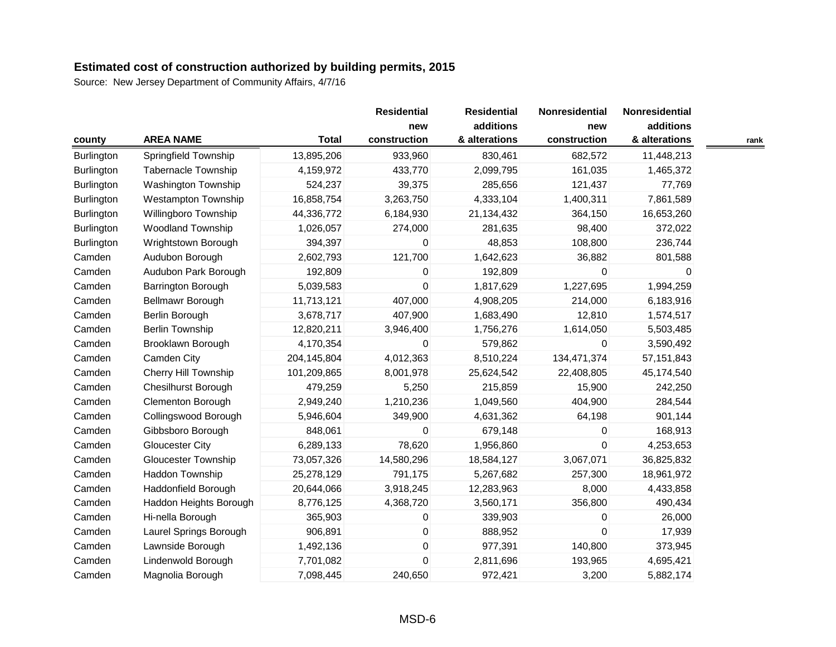|                   |                             |              | <b>Residential</b> | <b>Residential</b> | Nonresidential | Nonresidential |      |
|-------------------|-----------------------------|--------------|--------------------|--------------------|----------------|----------------|------|
|                   |                             |              | new                | additions          | new            | additions      |      |
| county            | <b>AREA NAME</b>            | <b>Total</b> | construction       | & alterations      | construction   | & alterations  | rank |
| Burlington        | Springfield Township        | 13,895,206   | 933,960            | 830,461            | 682,572        | 11,448,213     |      |
| Burlington        | <b>Tabernacle Township</b>  | 4,159,972    | 433,770            | 2,099,795          | 161,035        | 1,465,372      |      |
| <b>Burlington</b> | Washington Township         | 524,237      | 39,375             | 285,656            | 121,437        | 77,769         |      |
| Burlington        | <b>Westampton Township</b>  | 16,858,754   | 3,263,750          | 4,333,104          | 1,400,311      | 7,861,589      |      |
| <b>Burlington</b> | Willingboro Township        | 44,336,772   | 6,184,930          | 21,134,432         | 364,150        | 16,653,260     |      |
| <b>Burlington</b> | <b>Woodland Township</b>    | 1,026,057    | 274,000            | 281,635            | 98,400         | 372,022        |      |
| Burlington        | Wrightstown Borough         | 394,397      | 0                  | 48,853             | 108,800        | 236,744        |      |
| Camden            | Audubon Borough             | 2,602,793    | 121,700            | 1,642,623          | 36,882         | 801,588        |      |
| Camden            | Audubon Park Borough        | 192,809      | 0                  | 192,809            | 0              | $\mathbf 0$    |      |
| Camden            | Barrington Borough          | 5,039,583    | 0                  | 1,817,629          | 1,227,695      | 1,994,259      |      |
| Camden            | Bellmawr Borough            | 11,713,121   | 407,000            | 4,908,205          | 214,000        | 6,183,916      |      |
| Camden            | Berlin Borough              | 3,678,717    | 407,900            | 1,683,490          | 12,810         | 1,574,517      |      |
| Camden            | <b>Berlin Township</b>      | 12,820,211   | 3,946,400          | 1,756,276          | 1,614,050      | 5,503,485      |      |
| Camden            | Brooklawn Borough           | 4,170,354    | 0                  | 579,862            | $\Omega$       | 3,590,492      |      |
| Camden            | Camden City                 | 204,145,804  | 4,012,363          | 8,510,224          | 134,471,374    | 57, 151, 843   |      |
| Camden            | <b>Cherry Hill Township</b> | 101,209,865  | 8,001,978          | 25,624,542         | 22,408,805     | 45,174,540     |      |
| Camden            | <b>Chesilhurst Borough</b>  | 479,259      | 5,250              | 215,859            | 15,900         | 242,250        |      |
| Camden            | Clementon Borough           | 2,949,240    | 1,210,236          | 1,049,560          | 404,900        | 284,544        |      |
| Camden            | Collingswood Borough        | 5,946,604    | 349,900            | 4,631,362          | 64,198         | 901,144        |      |
| Camden            | Gibbsboro Borough           | 848,061      | 0                  | 679,148            | 0              | 168,913        |      |
| Camden            | <b>Gloucester City</b>      | 6,289,133    | 78,620             | 1,956,860          | 0              | 4,253,653      |      |
| Camden            | <b>Gloucester Township</b>  | 73,057,326   | 14,580,296         | 18,584,127         | 3,067,071      | 36,825,832     |      |
| Camden            | Haddon Township             | 25,278,129   | 791,175            | 5,267,682          | 257,300        | 18,961,972     |      |
| Camden            | Haddonfield Borough         | 20,644,066   | 3,918,245          | 12,283,963         | 8,000          | 4,433,858      |      |
| Camden            | Haddon Heights Borough      | 8,776,125    | 4,368,720          | 3,560,171          | 356,800        | 490,434        |      |
| Camden            | Hi-nella Borough            | 365,903      | 0                  | 339,903            | 0              | 26,000         |      |
| Camden            | Laurel Springs Borough      | 906,891      | 0                  | 888,952            | $\mathbf 0$    | 17,939         |      |
| Camden            | Lawnside Borough            | 1,492,136    | 0                  | 977,391            | 140,800        | 373,945        |      |
| Camden            | Lindenwold Borough          | 7,701,082    | 0                  | 2,811,696          | 193,965        | 4,695,421      |      |
| Camden            | Magnolia Borough            | 7,098,445    | 240,650            | 972,421            | 3,200          | 5,882,174      |      |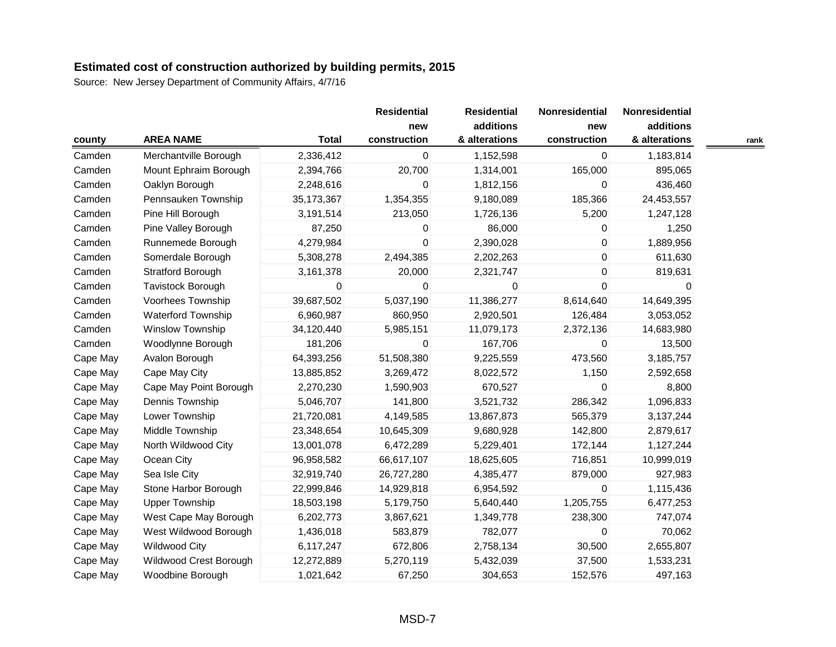|                  |                           |              | <b>Residential</b>  | <b>Residential</b>         | Nonresidential      | Nonresidential             |      |
|------------------|---------------------------|--------------|---------------------|----------------------------|---------------------|----------------------------|------|
|                  | <b>AREA NAME</b>          | <b>Total</b> | new<br>construction | additions<br>& alterations | new<br>construction | additions<br>& alterations |      |
| county<br>Camden |                           |              |                     |                            |                     |                            | rank |
|                  | Merchantville Borough     | 2,336,412    | 0                   | 1,152,598                  | 0                   | 1,183,814                  |      |
| Camden           | Mount Ephraim Borough     | 2,394,766    | 20,700              | 1,314,001                  | 165,000             | 895,065                    |      |
| Camden           | Oaklyn Borough            | 2,248,616    | 0                   | 1,812,156                  | 0                   | 436,460                    |      |
| Camden           | Pennsauken Township       | 35, 173, 367 | 1,354,355           | 9,180,089                  | 185,366             | 24,453,557                 |      |
| Camden           | Pine Hill Borough         | 3,191,514    | 213,050             | 1,726,136                  | 5,200               | 1,247,128                  |      |
| Camden           | Pine Valley Borough       | 87,250       | 0                   | 86,000                     | $\mathbf{0}$        | 1,250                      |      |
| Camden           | Runnemede Borough         | 4,279,984    | 0                   | 2,390,028                  | 0                   | 1,889,956                  |      |
| Camden           | Somerdale Borough         | 5,308,278    | 2,494,385           | 2,202,263                  | $\boldsymbol{0}$    | 611,630                    |      |
| Camden           | <b>Stratford Borough</b>  | 3,161,378    | 20,000              | 2,321,747                  | 0                   | 819,631                    |      |
| Camden           | Tavistock Borough         | 0            | 0                   | 0                          | $\mathbf 0$         | 0                          |      |
| Camden           | Voorhees Township         | 39,687,502   | 5,037,190           | 11,386,277                 | 8,614,640           | 14,649,395                 |      |
| Camden           | <b>Waterford Township</b> | 6,960,987    | 860,950             | 2,920,501                  | 126,484             | 3,053,052                  |      |
| Camden           | Winslow Township          | 34,120,440   | 5,985,151           | 11,079,173                 | 2,372,136           | 14,683,980                 |      |
| Camden           | Woodlynne Borough         | 181,206      | 0                   | 167,706                    | 0                   | 13,500                     |      |
| Cape May         | Avalon Borough            | 64,393,256   | 51,508,380          | 9,225,559                  | 473,560             | 3,185,757                  |      |
| Cape May         | Cape May City             | 13,885,852   | 3,269,472           | 8,022,572                  | 1,150               | 2,592,658                  |      |
| Cape May         | Cape May Point Borough    | 2,270,230    | 1,590,903           | 670,527                    | $\mathbf 0$         | 8,800                      |      |
| Cape May         | Dennis Township           | 5,046,707    | 141,800             | 3,521,732                  | 286,342             | 1,096,833                  |      |
| Cape May         | Lower Township            | 21,720,081   | 4,149,585           | 13,867,873                 | 565,379             | 3,137,244                  |      |
| Cape May         | Middle Township           | 23,348,654   | 10,645,309          | 9,680,928                  | 142,800             | 2,879,617                  |      |
| Cape May         | North Wildwood City       | 13,001,078   | 6,472,289           | 5,229,401                  | 172,144             | 1,127,244                  |      |
| Cape May         | Ocean City                | 96,958,582   | 66,617,107          | 18,625,605                 | 716,851             | 10,999,019                 |      |
| Cape May         | Sea Isle City             | 32,919,740   | 26,727,280          | 4,385,477                  | 879,000             | 927,983                    |      |
| Cape May         | Stone Harbor Borough      | 22,999,846   | 14,929,818          | 6,954,592                  | $\mathbf 0$         | 1,115,436                  |      |
| Cape May         | <b>Upper Township</b>     | 18,503,198   | 5,179,750           | 5,640,440                  | 1,205,755           | 6,477,253                  |      |
| Cape May         | West Cape May Borough     | 6,202,773    | 3,867,621           | 1,349,778                  | 238,300             | 747,074                    |      |
| Cape May         | West Wildwood Borough     | 1,436,018    | 583,879             | 782,077                    | 0                   | 70,062                     |      |
| Cape May         | <b>Wildwood City</b>      | 6,117,247    | 672,806             | 2,758,134                  | 30,500              | 2,655,807                  |      |
| Cape May         | Wildwood Crest Borough    | 12,272,889   | 5,270,119           | 5,432,039                  | 37,500              | 1,533,231                  |      |
| Cape May         | Woodbine Borough          | 1,021,642    | 67,250              | 304,653                    | 152,576             | 497,163                    |      |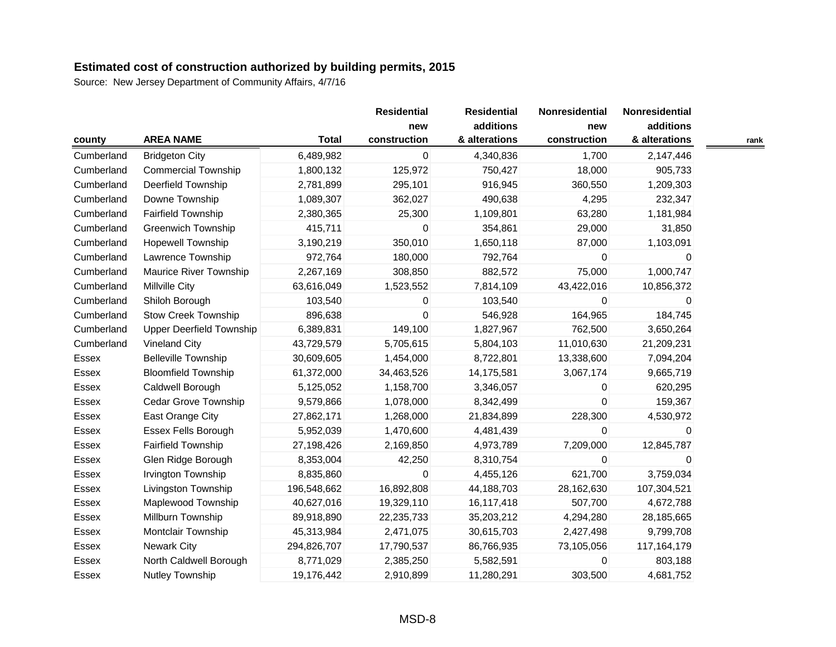|            |                                 |              | <b>Residential</b>  | <b>Residential</b>         | Nonresidential      | Nonresidential             |      |
|------------|---------------------------------|--------------|---------------------|----------------------------|---------------------|----------------------------|------|
| county     | <b>AREA NAME</b>                | <b>Total</b> | new<br>construction | additions<br>& alterations | new<br>construction | additions<br>& alterations | rank |
| Cumberland | <b>Bridgeton City</b>           | 6,489,982    | 0                   | 4,340,836                  | 1,700               | 2,147,446                  |      |
| Cumberland | <b>Commercial Township</b>      | 1,800,132    | 125,972             | 750,427                    | 18,000              | 905,733                    |      |
| Cumberland | Deerfield Township              | 2,781,899    | 295,101             | 916,945                    | 360,550             | 1,209,303                  |      |
| Cumberland | Downe Township                  | 1,089,307    | 362,027             | 490,638                    | 4,295               | 232,347                    |      |
| Cumberland | <b>Fairfield Township</b>       | 2,380,365    | 25,300              | 1,109,801                  | 63,280              | 1,181,984                  |      |
| Cumberland | <b>Greenwich Township</b>       | 415,711      | 0                   | 354,861                    | 29,000              | 31,850                     |      |
| Cumberland | <b>Hopewell Township</b>        | 3,190,219    | 350,010             | 1,650,118                  | 87,000              | 1,103,091                  |      |
| Cumberland | Lawrence Township               | 972,764      | 180,000             | 792,764                    | 0                   | 0                          |      |
| Cumberland | <b>Maurice River Township</b>   | 2,267,169    | 308,850             | 882,572                    | 75,000              | 1,000,747                  |      |
| Cumberland | <b>Millville City</b>           | 63,616,049   | 1,523,552           | 7,814,109                  | 43,422,016          | 10,856,372                 |      |
| Cumberland | Shiloh Borough                  | 103,540      | 0                   | 103,540                    | $\Omega$            | $\Omega$                   |      |
| Cumberland | <b>Stow Creek Township</b>      | 896,638      | $\mathbf 0$         | 546,928                    | 164,965             | 184,745                    |      |
| Cumberland | <b>Upper Deerfield Township</b> | 6,389,831    | 149,100             | 1,827,967                  | 762,500             | 3,650,264                  |      |
| Cumberland | <b>Vineland City</b>            | 43,729,579   | 5,705,615           | 5,804,103                  | 11,010,630          | 21,209,231                 |      |
| Essex      | <b>Belleville Township</b>      | 30,609,605   | 1,454,000           | 8,722,801                  | 13,338,600          | 7,094,204                  |      |
| Essex      | <b>Bloomfield Township</b>      | 61,372,000   | 34,463,526          | 14,175,581                 | 3,067,174           | 9,665,719                  |      |
| Essex      | Caldwell Borough                | 5,125,052    | 1,158,700           | 3,346,057                  | 0                   | 620,295                    |      |
| Essex      | Cedar Grove Township            | 9,579,866    | 1,078,000           | 8,342,499                  | $\Omega$            | 159,367                    |      |
| Essex      | East Orange City                | 27,862,171   | 1,268,000           | 21,834,899                 | 228,300             | 4,530,972                  |      |
| Essex      | Essex Fells Borough             | 5,952,039    | 1,470,600           | 4,481,439                  | 0                   | $\Omega$                   |      |
| Essex      | <b>Fairfield Township</b>       | 27,198,426   | 2,169,850           | 4,973,789                  | 7,209,000           | 12,845,787                 |      |
| Essex      | Glen Ridge Borough              | 8,353,004    | 42,250              | 8,310,754                  | $\mathbf 0$         | 0                          |      |
| Essex      | Irvington Township              | 8,835,860    | 0                   | 4,455,126                  | 621,700             | 3,759,034                  |      |
| Essex      | Livingston Township             | 196,548,662  | 16,892,808          | 44,188,703                 | 28,162,630          | 107,304,521                |      |
| Essex      | Maplewood Township              | 40,627,016   | 19,329,110          | 16,117,418                 | 507,700             | 4,672,788                  |      |
| Essex      | Millburn Township               | 89,918,890   | 22,235,733          | 35,203,212                 | 4,294,280           | 28,185,665                 |      |
| Essex      | Montclair Township              | 45,313,984   | 2,471,075           | 30,615,703                 | 2,427,498           | 9,799,708                  |      |
| Essex      | <b>Newark City</b>              | 294,826,707  | 17,790,537          | 86,766,935                 | 73,105,056          | 117,164,179                |      |
| Essex      | North Caldwell Borough          | 8,771,029    | 2,385,250           | 5,582,591                  | $\Omega$            | 803,188                    |      |
| Essex      | <b>Nutley Township</b>          | 19,176,442   | 2,910,899           | 11,280,291                 | 303,500             | 4,681,752                  |      |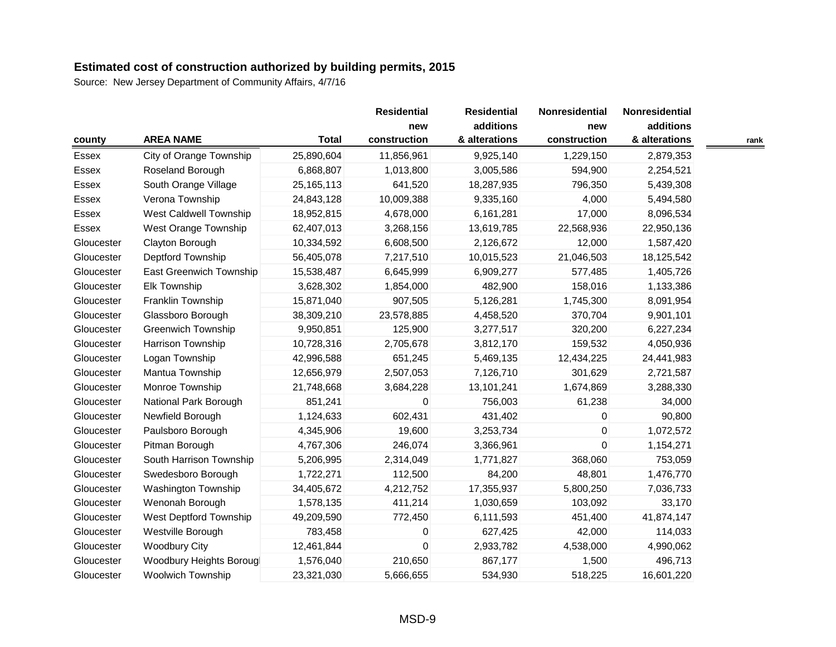|            |                               |              | <b>Residential</b>  | <b>Residential</b><br>additions | Nonresidential      | <b>Nonresidential</b><br>additions |      |
|------------|-------------------------------|--------------|---------------------|---------------------------------|---------------------|------------------------------------|------|
| county     | <b>AREA NAME</b>              | <b>Total</b> | new<br>construction | & alterations                   | new<br>construction | & alterations                      | rank |
| Essex      | City of Orange Township       | 25,890,604   | 11,856,961          | 9,925,140                       | 1,229,150           | 2,879,353                          |      |
| Essex      | Roseland Borough              | 6,868,807    | 1,013,800           | 3,005,586                       | 594,900             | 2,254,521                          |      |
| Essex      | South Orange Village          | 25, 165, 113 | 641,520             | 18,287,935                      | 796,350             | 5,439,308                          |      |
| Essex      | Verona Township               | 24,843,128   | 10,009,388          | 9,335,160                       | 4,000               | 5,494,580                          |      |
| Essex      | <b>West Caldwell Township</b> | 18,952,815   | 4,678,000           | 6,161,281                       | 17,000              | 8,096,534                          |      |
| Essex      | West Orange Township          | 62,407,013   | 3,268,156           | 13,619,785                      | 22,568,936          | 22,950,136                         |      |
| Gloucester | Clayton Borough               | 10,334,592   | 6,608,500           | 2,126,672                       | 12,000              | 1,587,420                          |      |
| Gloucester | Deptford Township             | 56,405,078   | 7,217,510           | 10,015,523                      | 21,046,503          | 18,125,542                         |      |
| Gloucester | East Greenwich Township       | 15,538,487   | 6,645,999           | 6,909,277                       | 577,485             | 1,405,726                          |      |
| Gloucester | Elk Township                  | 3,628,302    | 1,854,000           | 482,900                         | 158,016             | 1,133,386                          |      |
| Gloucester | Franklin Township             | 15,871,040   | 907,505             | 5,126,281                       | 1,745,300           | 8,091,954                          |      |
| Gloucester | Glassboro Borough             | 38,309,210   | 23,578,885          | 4,458,520                       | 370,704             | 9,901,101                          |      |
| Gloucester | <b>Greenwich Township</b>     | 9,950,851    | 125,900             | 3,277,517                       | 320,200             | 6,227,234                          |      |
| Gloucester | Harrison Township             | 10,728,316   | 2,705,678           | 3,812,170                       | 159,532             | 4,050,936                          |      |
| Gloucester | Logan Township                | 42,996,588   | 651,245             | 5,469,135                       | 12,434,225          | 24,441,983                         |      |
| Gloucester | Mantua Township               | 12,656,979   | 2,507,053           | 7,126,710                       | 301,629             | 2,721,587                          |      |
| Gloucester | Monroe Township               | 21,748,668   | 3,684,228           | 13,101,241                      | 1,674,869           | 3,288,330                          |      |
| Gloucester | National Park Borough         | 851,241      | 0                   | 756,003                         | 61,238              | 34,000                             |      |
| Gloucester | Newfield Borough              | 1,124,633    | 602,431             | 431,402                         | 0                   | 90,800                             |      |
| Gloucester | Paulsboro Borough             | 4,345,906    | 19,600              | 3,253,734                       | $\mathbf 0$         | 1,072,572                          |      |
| Gloucester | Pitman Borough                | 4,767,306    | 246,074             | 3,366,961                       | $\mathbf 0$         | 1,154,271                          |      |
| Gloucester | South Harrison Township       | 5,206,995    | 2,314,049           | 1,771,827                       | 368,060             | 753,059                            |      |
| Gloucester | Swedesboro Borough            | 1,722,271    | 112,500             | 84,200                          | 48,801              | 1,476,770                          |      |
| Gloucester | Washington Township           | 34,405,672   | 4,212,752           | 17,355,937                      | 5,800,250           | 7,036,733                          |      |
| Gloucester | Wenonah Borough               | 1,578,135    | 411,214             | 1,030,659                       | 103,092             | 33,170                             |      |
| Gloucester | West Deptford Township        | 49,209,590   | 772,450             | 6,111,593                       | 451,400             | 41,874,147                         |      |
| Gloucester | Westville Borough             | 783,458      | 0                   | 627,425                         | 42,000              | 114,033                            |      |
| Gloucester | <b>Woodbury City</b>          | 12,461,844   | 0                   | 2,933,782                       | 4,538,000           | 4,990,062                          |      |
| Gloucester | Woodbury Heights Borougl      | 1,576,040    | 210,650             | 867,177                         | 1,500               | 496,713                            |      |
| Gloucester | <b>Woolwich Township</b>      | 23,321,030   | 5,666,655           | 534,930                         | 518,225             | 16,601,220                         |      |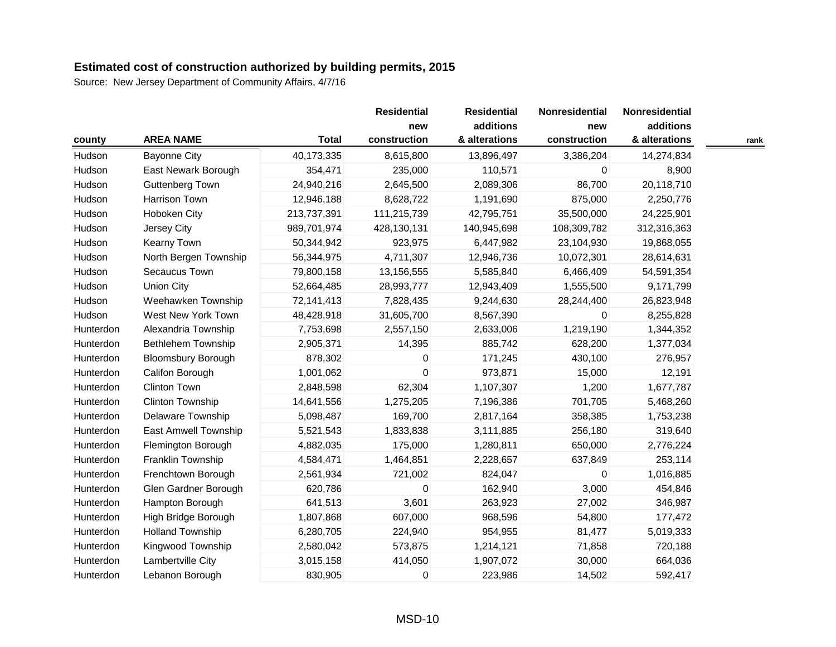|           |                           |              | <b>Residential</b>  | <b>Residential</b>         | Nonresidential      | Nonresidential             |      |
|-----------|---------------------------|--------------|---------------------|----------------------------|---------------------|----------------------------|------|
|           | <b>AREA NAME</b>          | <b>Total</b> | new<br>construction | additions<br>& alterations | new<br>construction | additions<br>& alterations |      |
| county    |                           |              |                     |                            |                     |                            | rank |
| Hudson    | <b>Bayonne City</b>       | 40,173,335   | 8,615,800           | 13,896,497                 | 3,386,204           | 14,274,834                 |      |
| Hudson    | East Newark Borough       | 354,471      | 235,000             | 110,571                    | 0                   | 8,900                      |      |
| Hudson    | Guttenberg Town           | 24,940,216   | 2,645,500           | 2,089,306                  | 86,700              | 20,118,710                 |      |
| Hudson    | Harrison Town             | 12,946,188   | 8,628,722           | 1,191,690                  | 875,000             | 2,250,776                  |      |
| Hudson    | Hoboken City              | 213,737,391  | 111,215,739         | 42,795,751                 | 35,500,000          | 24,225,901                 |      |
| Hudson    | Jersey City               | 989,701,974  | 428,130,131         | 140,945,698                | 108,309,782         | 312,316,363                |      |
| Hudson    | Kearny Town               | 50,344,942   | 923,975             | 6,447,982                  | 23,104,930          | 19,868,055                 |      |
| Hudson    | North Bergen Township     | 56,344,975   | 4,711,307           | 12,946,736                 | 10,072,301          | 28,614,631                 |      |
| Hudson    | Secaucus Town             | 79,800,158   | 13,156,555          | 5,585,840                  | 6,466,409           | 54,591,354                 |      |
| Hudson    | <b>Union City</b>         | 52,664,485   | 28,993,777          | 12,943,409                 | 1,555,500           | 9,171,799                  |      |
| Hudson    | Weehawken Township        | 72,141,413   | 7,828,435           | 9,244,630                  | 28,244,400          | 26,823,948                 |      |
| Hudson    | West New York Town        | 48,428,918   | 31,605,700          | 8,567,390                  | $\mathbf{0}$        | 8,255,828                  |      |
| Hunterdon | Alexandria Township       | 7,753,698    | 2,557,150           | 2,633,006                  | 1,219,190           | 1,344,352                  |      |
| Hunterdon | <b>Bethlehem Township</b> | 2,905,371    | 14,395              | 885,742                    | 628,200             | 1,377,034                  |      |
| Hunterdon | <b>Bloomsbury Borough</b> | 878,302      | 0                   | 171,245                    | 430,100             | 276,957                    |      |
| Hunterdon | Califon Borough           | 1,001,062    | $\mathbf 0$         | 973,871                    | 15,000              | 12,191                     |      |
| Hunterdon | Clinton Town              | 2,848,598    | 62,304              | 1,107,307                  | 1,200               | 1,677,787                  |      |
| Hunterdon | Clinton Township          | 14,641,556   | 1,275,205           | 7,196,386                  | 701,705             | 5,468,260                  |      |
| Hunterdon | Delaware Township         | 5,098,487    | 169,700             | 2,817,164                  | 358,385             | 1,753,238                  |      |
| Hunterdon | East Amwell Township      | 5,521,543    | 1,833,838           | 3,111,885                  | 256,180             | 319,640                    |      |
| Hunterdon | Flemington Borough        | 4,882,035    | 175,000             | 1,280,811                  | 650,000             | 2,776,224                  |      |
| Hunterdon | Franklin Township         | 4,584,471    | 1,464,851           | 2,228,657                  | 637,849             | 253,114                    |      |
| Hunterdon | Frenchtown Borough        | 2,561,934    | 721,002             | 824,047                    | $\pmb{0}$           | 1,016,885                  |      |
| Hunterdon | Glen Gardner Borough      | 620,786      | $\mathsf 0$         | 162,940                    | 3,000               | 454,846                    |      |
| Hunterdon | Hampton Borough           | 641,513      | 3,601               | 263,923                    | 27,002              | 346,987                    |      |
| Hunterdon | High Bridge Borough       | 1,807,868    | 607,000             | 968,596                    | 54,800              | 177,472                    |      |
| Hunterdon | <b>Holland Township</b>   | 6,280,705    | 224,940             | 954,955                    | 81,477              | 5,019,333                  |      |
| Hunterdon | Kingwood Township         | 2,580,042    | 573,875             | 1,214,121                  | 71,858              | 720,188                    |      |
| Hunterdon | Lambertville City         | 3,015,158    | 414,050             | 1,907,072                  | 30,000              | 664,036                    |      |
| Hunterdon | Lebanon Borough           | 830,905      | 0                   | 223,986                    | 14,502              | 592,417                    |      |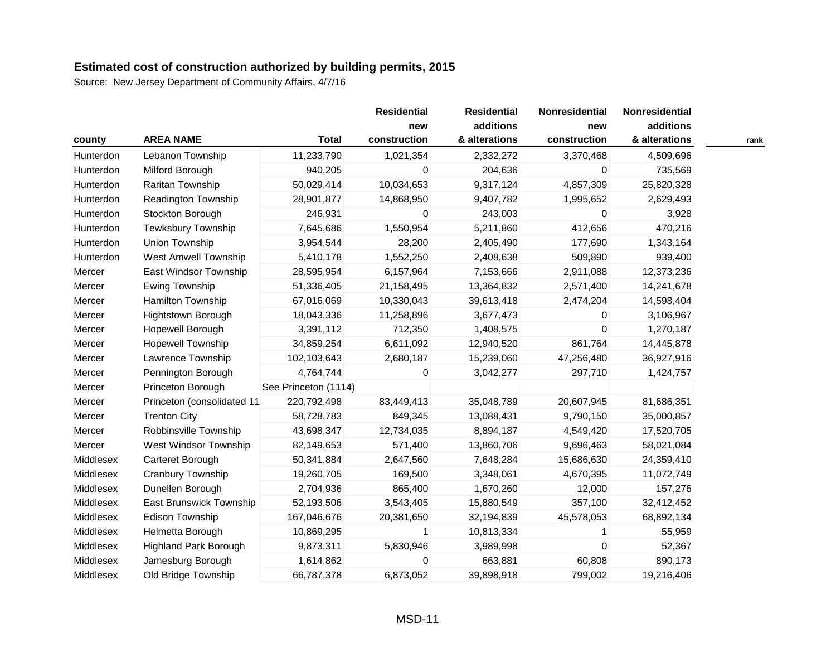| county    | <b>AREA NAME</b>             | <b>Total</b>         | <b>Residential</b><br>new<br>construction | <b>Residential</b><br>additions<br>& alterations | Nonresidential<br>new<br>construction | Nonresidential<br>additions<br>& alterations | rank |
|-----------|------------------------------|----------------------|-------------------------------------------|--------------------------------------------------|---------------------------------------|----------------------------------------------|------|
| Hunterdon | Lebanon Township             | 11,233,790           | 1,021,354                                 | 2,332,272                                        | 3,370,468                             | 4,509,696                                    |      |
| Hunterdon | Milford Borough              | 940,205              | 0                                         | 204,636                                          | 0                                     | 735,569                                      |      |
| Hunterdon | Raritan Township             | 50,029,414           | 10,034,653                                | 9,317,124                                        | 4,857,309                             | 25,820,328                                   |      |
| Hunterdon | <b>Readington Township</b>   | 28,901,877           | 14,868,950                                | 9,407,782                                        | 1,995,652                             | 2,629,493                                    |      |
| Hunterdon | Stockton Borough             | 246,931              | 0                                         | 243,003                                          | 0                                     | 3,928                                        |      |
| Hunterdon | <b>Tewksbury Township</b>    | 7,645,686            | 1,550,954                                 | 5,211,860                                        | 412,656                               | 470,216                                      |      |
| Hunterdon | Union Township               | 3,954,544            | 28,200                                    | 2,405,490                                        | 177,690                               | 1,343,164                                    |      |
| Hunterdon | <b>West Amwell Township</b>  | 5,410,178            | 1,552,250                                 | 2,408,638                                        | 509,890                               | 939,400                                      |      |
| Mercer    | East Windsor Township        | 28,595,954           | 6,157,964                                 | 7,153,666                                        | 2,911,088                             | 12,373,236                                   |      |
| Mercer    | Ewing Township               | 51,336,405           | 21,158,495                                | 13,364,832                                       | 2,571,400                             | 14,241,678                                   |      |
| Mercer    | Hamilton Township            | 67,016,069           | 10,330,043                                | 39,613,418                                       | 2,474,204                             | 14,598,404                                   |      |
| Mercer    | Hightstown Borough           | 18,043,336           | 11,258,896                                | 3,677,473                                        | 0                                     | 3,106,967                                    |      |
| Mercer    | Hopewell Borough             | 3,391,112            | 712,350                                   | 1,408,575                                        | 0                                     | 1,270,187                                    |      |
| Mercer    | <b>Hopewell Township</b>     | 34,859,254           | 6,611,092                                 | 12,940,520                                       | 861,764                               | 14,445,878                                   |      |
| Mercer    | Lawrence Township            | 102,103,643          | 2,680,187                                 | 15,239,060                                       | 47,256,480                            | 36,927,916                                   |      |
| Mercer    | Pennington Borough           | 4,764,744            | 0                                         | 3,042,277                                        | 297,710                               | 1,424,757                                    |      |
| Mercer    | Princeton Borough            | See Princeton (1114) |                                           |                                                  |                                       |                                              |      |
| Mercer    | Princeton (consolidated 11   | 220,792,498          | 83,449,413                                | 35,048,789                                       | 20,607,945                            | 81,686,351                                   |      |
| Mercer    | <b>Trenton City</b>          | 58,728,783           | 849,345                                   | 13,088,431                                       | 9,790,150                             | 35,000,857                                   |      |
| Mercer    | Robbinsville Township        | 43,698,347           | 12,734,035                                | 8,894,187                                        | 4,549,420                             | 17,520,705                                   |      |
| Mercer    | West Windsor Township        | 82,149,653           | 571,400                                   | 13,860,706                                       | 9,696,463                             | 58,021,084                                   |      |
| Middlesex | Carteret Borough             | 50,341,884           | 2,647,560                                 | 7,648,284                                        | 15,686,630                            | 24,359,410                                   |      |
| Middlesex | Cranbury Township            | 19,260,705           | 169,500                                   | 3,348,061                                        | 4,670,395                             | 11,072,749                                   |      |
| Middlesex | Dunellen Borough             | 2,704,936            | 865,400                                   | 1,670,260                                        | 12,000                                | 157,276                                      |      |
| Middlesex | East Brunswick Township      | 52,193,506           | 3,543,405                                 | 15,880,549                                       | 357,100                               | 32,412,452                                   |      |
| Middlesex | <b>Edison Township</b>       | 167,046,676          | 20,381,650                                | 32,194,839                                       | 45,578,053                            | 68,892,134                                   |      |
| Middlesex | Helmetta Borough             | 10,869,295           | 1                                         | 10,813,334                                       |                                       | 55,959                                       |      |
| Middlesex | <b>Highland Park Borough</b> | 9,873,311            | 5,830,946                                 | 3,989,998                                        | $\mathbf 0$                           | 52,367                                       |      |
| Middlesex | Jamesburg Borough            | 1,614,862            | 0                                         | 663,881                                          | 60,808                                | 890,173                                      |      |
| Middlesex | Old Bridge Township          | 66,787,378           | 6,873,052                                 | 39,898,918                                       | 799,002                               | 19,216,406                                   |      |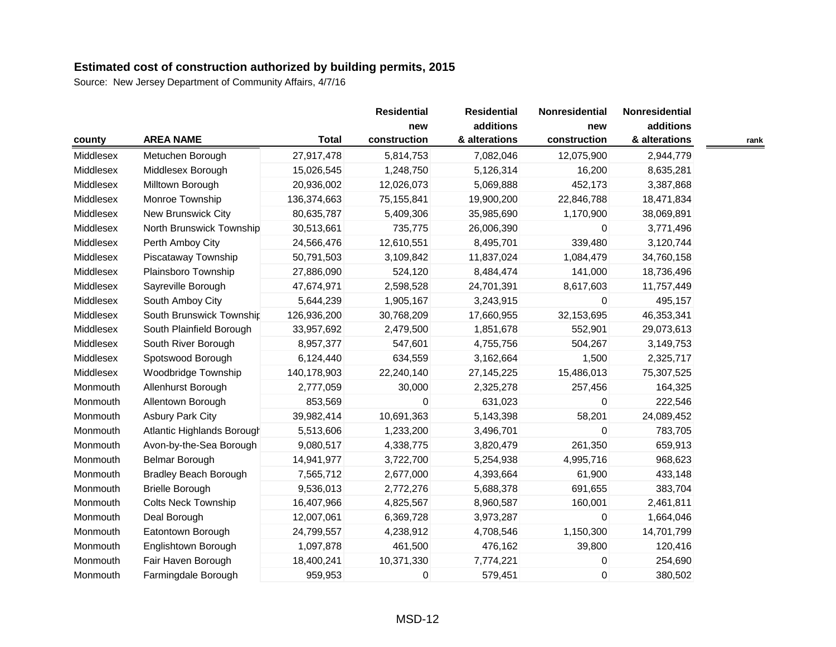|           |                              |              | <b>Residential</b> | <b>Residential</b> | Nonresidential | Nonresidential |      |
|-----------|------------------------------|--------------|--------------------|--------------------|----------------|----------------|------|
|           |                              |              | new                | additions          | new            | additions      |      |
| county    | <b>AREA NAME</b>             | <b>Total</b> | construction       | & alterations      | construction   | & alterations  | rank |
| Middlesex | Metuchen Borough             | 27,917,478   | 5,814,753          | 7,082,046          | 12,075,900     | 2,944,779      |      |
| Middlesex | Middlesex Borough            | 15,026,545   | 1,248,750          | 5,126,314          | 16,200         | 8,635,281      |      |
| Middlesex | Milltown Borough             | 20,936,002   | 12,026,073         | 5,069,888          | 452,173        | 3,387,868      |      |
| Middlesex | Monroe Township              | 136,374,663  | 75,155,841         | 19,900,200         | 22,846,788     | 18,471,834     |      |
| Middlesex | New Brunswick City           | 80,635,787   | 5,409,306          | 35,985,690         | 1,170,900      | 38,069,891     |      |
| Middlesex | North Brunswick Township     | 30,513,661   | 735,775            | 26,006,390         | $\Omega$       | 3,771,496      |      |
| Middlesex | Perth Amboy City             | 24,566,476   | 12,610,551         | 8,495,701          | 339,480        | 3,120,744      |      |
| Middlesex | Piscataway Township          | 50,791,503   | 3,109,842          | 11,837,024         | 1,084,479      | 34,760,158     |      |
| Middlesex | Plainsboro Township          | 27,886,090   | 524,120            | 8,484,474          | 141,000        | 18,736,496     |      |
| Middlesex | Sayreville Borough           | 47,674,971   | 2,598,528          | 24,701,391         | 8,617,603      | 11,757,449     |      |
| Middlesex | South Amboy City             | 5,644,239    | 1,905,167          | 3,243,915          | $\Omega$       | 495,157        |      |
| Middlesex | South Brunswick Township     | 126,936,200  | 30,768,209         | 17,660,955         | 32,153,695     | 46,353,341     |      |
| Middlesex | South Plainfield Borough     | 33,957,692   | 2,479,500          | 1,851,678          | 552,901        | 29,073,613     |      |
| Middlesex | South River Borough          | 8,957,377    | 547,601            | 4,755,756          | 504,267        | 3,149,753      |      |
| Middlesex | Spotswood Borough            | 6,124,440    | 634,559            | 3,162,664          | 1,500          | 2,325,717      |      |
| Middlesex | Woodbridge Township          | 140,178,903  | 22,240,140         | 27, 145, 225       | 15,486,013     | 75,307,525     |      |
| Monmouth  | Allenhurst Borough           | 2,777,059    | 30,000             | 2,325,278          | 257,456        | 164,325        |      |
| Monmouth  | Allentown Borough            | 853,569      | 0                  | 631,023            | $\mathbf 0$    | 222,546        |      |
| Monmouth  | <b>Asbury Park City</b>      | 39,982,414   | 10,691,363         | 5,143,398          | 58,201         | 24,089,452     |      |
| Monmouth  | Atlantic Highlands Borough   | 5,513,606    | 1,233,200          | 3,496,701          | 0              | 783,705        |      |
| Monmouth  | Avon-by-the-Sea Borough      | 9,080,517    | 4,338,775          | 3,820,479          | 261,350        | 659,913        |      |
| Monmouth  | Belmar Borough               | 14,941,977   | 3,722,700          | 5,254,938          | 4,995,716      | 968,623        |      |
| Monmouth  | <b>Bradley Beach Borough</b> | 7,565,712    | 2,677,000          | 4,393,664          | 61,900         | 433,148        |      |
| Monmouth  | <b>Brielle Borough</b>       | 9,536,013    | 2,772,276          | 5,688,378          | 691,655        | 383,704        |      |
| Monmouth  | <b>Colts Neck Township</b>   | 16,407,966   | 4,825,567          | 8,960,587          | 160,001        | 2,461,811      |      |
| Monmouth  | Deal Borough                 | 12,007,061   | 6,369,728          | 3,973,287          | $\Omega$       | 1,664,046      |      |
| Monmouth  | Eatontown Borough            | 24,799,557   | 4,238,912          | 4,708,546          | 1,150,300      | 14,701,799     |      |
| Monmouth  | Englishtown Borough          | 1,097,878    | 461,500            | 476,162            | 39,800         | 120,416        |      |
| Monmouth  | Fair Haven Borough           | 18,400,241   | 10,371,330         | 7,774,221          | 0              | 254,690        |      |
| Monmouth  | Farmingdale Borough          | 959,953      | 0                  | 579,451            | 0              | 380,502        |      |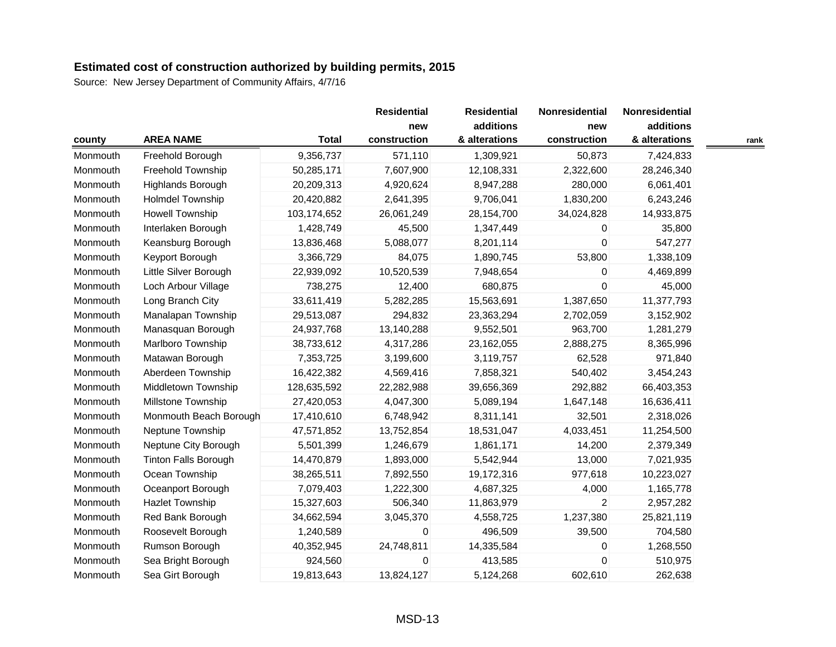|          |                             |              | <b>Residential</b>  | <b>Residential</b>         | Nonresidential      | Nonresidential             |
|----------|-----------------------------|--------------|---------------------|----------------------------|---------------------|----------------------------|
| county   | <b>AREA NAME</b>            | <b>Total</b> | new<br>construction | additions<br>& alterations | new<br>construction | additions<br>& alterations |
| Monmouth | Freehold Borough            | 9,356,737    | 571,110             | 1,309,921                  | 50,873              | 7,424,833                  |
| Monmouth | Freehold Township           |              | 7,607,900           | 12,108,331                 |                     | 28,246,340                 |
|          |                             | 50,285,171   |                     |                            | 2,322,600           |                            |
| Monmouth | Highlands Borough           | 20,209,313   | 4,920,624           | 8,947,288                  | 280,000             | 6,061,401                  |
| Monmouth | <b>Holmdel Township</b>     | 20,420,882   | 2,641,395           | 9,706,041                  | 1,830,200           | 6,243,246                  |
| Monmouth | <b>Howell Township</b>      | 103,174,652  | 26,061,249          | 28,154,700                 | 34,024,828          | 14,933,875                 |
| Monmouth | Interlaken Borough          | 1,428,749    | 45,500              | 1,347,449                  | 0                   | 35,800                     |
| Monmouth | Keansburg Borough           | 13,836,468   | 5,088,077           | 8,201,114                  | $\mathbf 0$         | 547,277                    |
| Monmouth | Keyport Borough             | 3,366,729    | 84,075              | 1,890,745                  | 53,800              | 1,338,109                  |
| Monmouth | Little Silver Borough       | 22,939,092   | 10,520,539          | 7,948,654                  | 0                   | 4,469,899                  |
| Monmouth | Loch Arbour Village         | 738,275      | 12,400              | 680,875                    | $\mathbf 0$         | 45,000                     |
| Monmouth | Long Branch City            | 33,611,419   | 5,282,285           | 15,563,691                 | 1,387,650           | 11,377,793                 |
| Monmouth | Manalapan Township          | 29,513,087   | 294,832             | 23,363,294                 | 2,702,059           | 3,152,902                  |
| Monmouth | Manasquan Borough           | 24,937,768   | 13,140,288          | 9,552,501                  | 963,700             | 1,281,279                  |
| Monmouth | Marlboro Township           | 38,733,612   | 4,317,286           | 23,162,055                 | 2,888,275           | 8,365,996                  |
| Monmouth | Matawan Borough             | 7,353,725    | 3,199,600           | 3,119,757                  | 62,528              | 971,840                    |
| Monmouth | Aberdeen Township           | 16,422,382   | 4,569,416           | 7,858,321                  | 540,402             | 3,454,243                  |
| Monmouth | Middletown Township         | 128,635,592  | 22,282,988          | 39,656,369                 | 292,882             | 66,403,353                 |
| Monmouth | Millstone Township          | 27,420,053   | 4,047,300           | 5,089,194                  | 1,647,148           | 16,636,411                 |
| Monmouth | Monmouth Beach Borough      | 17,410,610   | 6,748,942           | 8,311,141                  | 32,501              | 2,318,026                  |
| Monmouth | Neptune Township            | 47,571,852   | 13,752,854          | 18,531,047                 | 4,033,451           | 11,254,500                 |
| Monmouth | Neptune City Borough        | 5,501,399    | 1,246,679           | 1,861,171                  | 14,200              | 2,379,349                  |
| Monmouth | <b>Tinton Falls Borough</b> | 14,470,879   | 1,893,000           | 5,542,944                  | 13,000              | 7,021,935                  |
| Monmouth | Ocean Township              | 38,265,511   | 7,892,550           | 19,172,316                 | 977,618             | 10,223,027                 |
| Monmouth | Oceanport Borough           | 7,079,403    | 1,222,300           | 4,687,325                  | 4,000               | 1,165,778                  |
| Monmouth | Hazlet Township             | 15,327,603   | 506,340             | 11,863,979                 | $\overline{c}$      | 2,957,282                  |
| Monmouth | Red Bank Borough            | 34,662,594   | 3,045,370           | 4,558,725                  | 1,237,380           | 25,821,119                 |
| Monmouth | Roosevelt Borough           | 1,240,589    | 0                   | 496,509                    | 39,500              | 704,580                    |
| Monmouth | Rumson Borough              | 40,352,945   | 24,748,811          | 14,335,584                 | 0                   | 1,268,550                  |
| Monmouth | Sea Bright Borough          | 924,560      | 0                   | 413,585                    | $\Omega$            | 510,975                    |
| Monmouth | Sea Girt Borough            | 19,813,643   | 13,824,127          | 5,124,268                  | 602,610             | 262,638                    |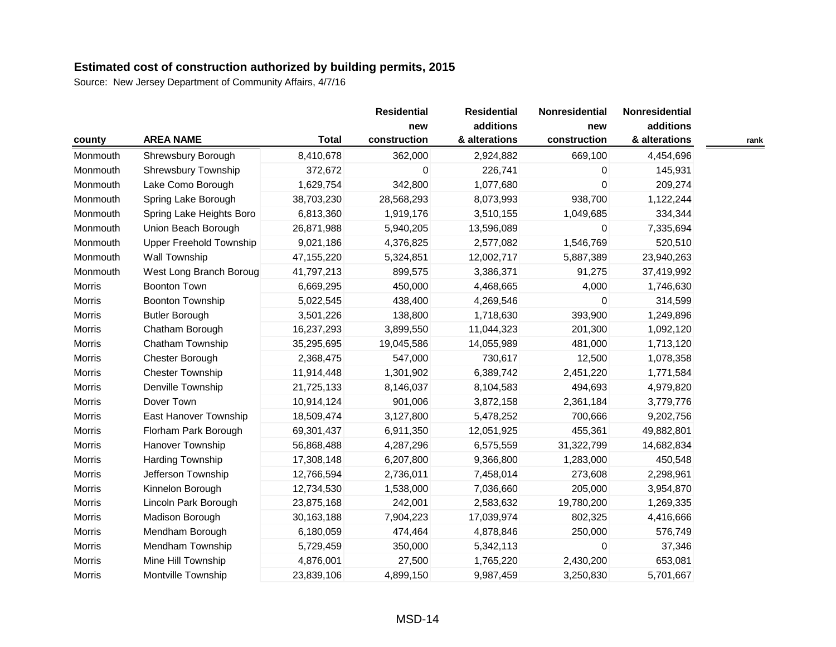|               |                                |              | <b>Residential</b> | <b>Residential</b> | Nonresidential | Nonresidential |      |
|---------------|--------------------------------|--------------|--------------------|--------------------|----------------|----------------|------|
|               |                                |              | new                | additions          | new            | additions      |      |
| county        | <b>AREA NAME</b>               | <b>Total</b> | construction       | & alterations      | construction   | & alterations  | rank |
| Monmouth      | Shrewsbury Borough             | 8,410,678    | 362,000            | 2,924,882          | 669,100        | 4,454,696      |      |
| Monmouth      | Shrewsbury Township            | 372,672      | 0                  | 226,741            | 0              | 145,931        |      |
| Monmouth      | Lake Como Borough              | 1,629,754    | 342,800            | 1,077,680          | $\mathbf 0$    | 209,274        |      |
| Monmouth      | Spring Lake Borough            | 38,703,230   | 28,568,293         | 8,073,993          | 938,700        | 1,122,244      |      |
| Monmouth      | Spring Lake Heights Boro       | 6,813,360    | 1,919,176          | 3,510,155          | 1,049,685      | 334,344        |      |
| Monmouth      | Union Beach Borough            | 26,871,988   | 5,940,205          | 13,596,089         | $\mathbf 0$    | 7,335,694      |      |
| Monmouth      | <b>Upper Freehold Township</b> | 9,021,186    | 4,376,825          | 2,577,082          | 1,546,769      | 520,510        |      |
| Monmouth      | <b>Wall Township</b>           | 47,155,220   | 5,324,851          | 12,002,717         | 5,887,389      | 23,940,263     |      |
| Monmouth      | West Long Branch Boroug        | 41,797,213   | 899,575            | 3,386,371          | 91,275         | 37,419,992     |      |
| Morris        | <b>Boonton Town</b>            | 6,669,295    | 450,000            | 4,468,665          | 4,000          | 1,746,630      |      |
| Morris        | <b>Boonton Township</b>        | 5,022,545    | 438,400            | 4,269,546          | $\Omega$       | 314,599        |      |
| Morris        | <b>Butler Borough</b>          | 3,501,226    | 138,800            | 1,718,630          | 393,900        | 1,249,896      |      |
| Morris        | Chatham Borough                | 16,237,293   | 3,899,550          | 11,044,323         | 201,300        | 1,092,120      |      |
| Morris        | Chatham Township               | 35,295,695   | 19,045,586         | 14,055,989         | 481,000        | 1,713,120      |      |
| Morris        | Chester Borough                | 2,368,475    | 547,000            | 730,617            | 12,500         | 1,078,358      |      |
| Morris        | <b>Chester Township</b>        | 11,914,448   | 1,301,902          | 6,389,742          | 2,451,220      | 1,771,584      |      |
| Morris        | Denville Township              | 21,725,133   | 8,146,037          | 8,104,583          | 494,693        | 4,979,820      |      |
| Morris        | Dover Town                     | 10,914,124   | 901,006            | 3,872,158          | 2,361,184      | 3,779,776      |      |
| Morris        | East Hanover Township          | 18,509,474   | 3,127,800          | 5,478,252          | 700,666        | 9,202,756      |      |
| Morris        | Florham Park Borough           | 69,301,437   | 6,911,350          | 12,051,925         | 455,361        | 49,882,801     |      |
| <b>Morris</b> | Hanover Township               | 56,868,488   | 4,287,296          | 6,575,559          | 31,322,799     | 14,682,834     |      |
| Morris        | Harding Township               | 17,308,148   | 6,207,800          | 9,366,800          | 1,283,000      | 450,548        |      |
| Morris        | Jefferson Township             | 12,766,594   | 2,736,011          | 7,458,014          | 273,608        | 2,298,961      |      |
| Morris        | Kinnelon Borough               | 12,734,530   | 1,538,000          | 7,036,660          | 205,000        | 3,954,870      |      |
| Morris        | Lincoln Park Borough           | 23,875,168   | 242,001            | 2,583,632          | 19,780,200     | 1,269,335      |      |
| Morris        | Madison Borough                | 30,163,188   | 7,904,223          | 17,039,974         | 802,325        | 4,416,666      |      |
| Morris        | Mendham Borough                | 6,180,059    | 474,464            | 4,878,846          | 250,000        | 576,749        |      |
| Morris        | Mendham Township               | 5,729,459    | 350,000            | 5,342,113          | $\mathbf 0$    | 37,346         |      |
| Morris        | Mine Hill Township             | 4,876,001    | 27,500             | 1,765,220          | 2,430,200      | 653,081        |      |
| Morris        | Montville Township             | 23,839,106   | 4,899,150          | 9,987,459          | 3,250,830      | 5,701,667      |      |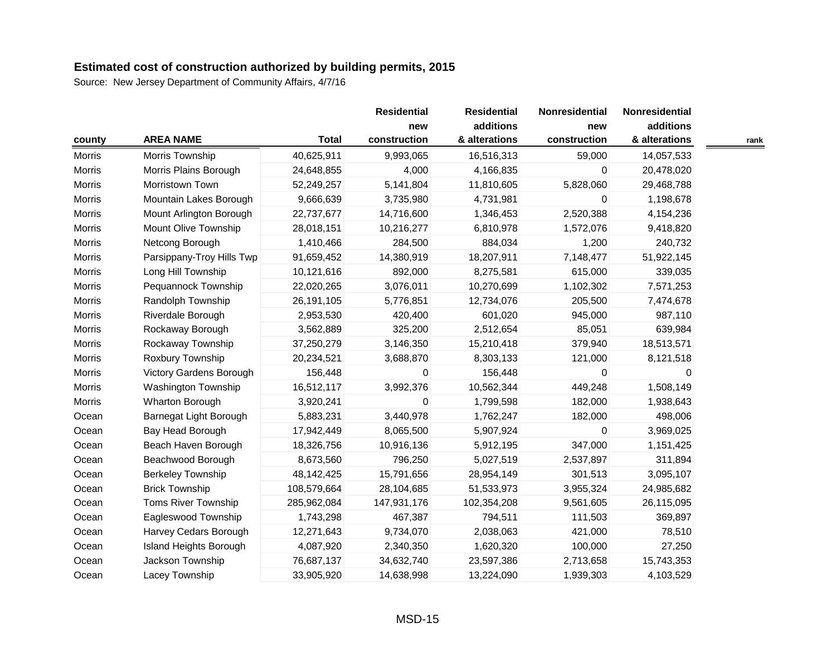|               |                           |              | <b>Residential</b>  | <b>Residential</b>         | Nonresidential      | Nonresidential             |      |
|---------------|---------------------------|--------------|---------------------|----------------------------|---------------------|----------------------------|------|
| county        | <b>AREA NAME</b>          | <b>Total</b> | new<br>construction | additions<br>& alterations | new<br>construction | additions<br>& alterations | rank |
| <b>Morris</b> | Morris Township           | 40,625,911   | 9,993,065           | 16,516,313                 | 59,000              | 14,057,533                 |      |
| Morris        | Morris Plains Borough     | 24,648,855   | 4,000               | 4,166,835                  | 0                   | 20,478,020                 |      |
| <b>Morris</b> | Morristown Town           | 52,249,257   | 5,141,804           | 11,810,605                 | 5,828,060           | 29,468,788                 |      |
| <b>Morris</b> | Mountain Lakes Borough    | 9,666,639    | 3,735,980           | 4,731,981                  | 0                   | 1,198,678                  |      |
| Morris        | Mount Arlington Borough   | 22,737,677   | 14,716,600          | 1,346,453                  | 2,520,388           | 4,154,236                  |      |
| Morris        | Mount Olive Township      | 28,018,151   | 10,216,277          | 6,810,978                  | 1,572,076           | 9,418,820                  |      |
| Morris        | Netcong Borough           | 1,410,466    | 284,500             | 884,034                    | 1,200               | 240,732                    |      |
| <b>Morris</b> | Parsippany-Troy Hills Twp | 91,659,452   | 14,380,919          | 18,207,911                 | 7,148,477           | 51,922,145                 |      |
| <b>Morris</b> | Long Hill Township        | 10,121,616   | 892,000             | 8,275,581                  | 615,000             | 339,035                    |      |
| Morris        | Pequannock Township       | 22,020,265   | 3,076,011           | 10,270,699                 | 1,102,302           | 7,571,253                  |      |
| <b>Morris</b> | Randolph Township         | 26,191,105   | 5,776,851           | 12,734,076                 | 205,500             | 7,474,678                  |      |
| <b>Morris</b> | Riverdale Borough         | 2,953,530    | 420,400             | 601,020                    | 945,000             | 987,110                    |      |
| Morris        | Rockaway Borough          | 3,562,889    | 325,200             | 2,512,654                  | 85,051              | 639,984                    |      |
| Morris        | Rockaway Township         | 37,250,279   | 3,146,350           | 15,210,418                 | 379,940             | 18,513,571                 |      |
| Morris        | Roxbury Township          | 20,234,521   | 3,688,870           | 8,303,133                  | 121,000             | 8,121,518                  |      |
| Morris        | Victory Gardens Borough   | 156,448      | 0                   | 156,448                    | 0                   | 0                          |      |
| Morris        | Washington Township       | 16,512,117   | 3,992,376           | 10,562,344                 | 449,248             | 1,508,149                  |      |
| Morris        | Wharton Borough           | 3,920,241    | 0                   | 1,799,598                  | 182,000             | 1,938,643                  |      |
| Ocean         | Barnegat Light Borough    | 5,883,231    | 3,440,978           | 1,762,247                  | 182,000             | 498,006                    |      |
| Ocean         | Bay Head Borough          | 17,942,449   | 8,065,500           | 5,907,924                  | 0                   | 3,969,025                  |      |
| Ocean         | Beach Haven Borough       | 18,326,756   | 10,916,136          | 5,912,195                  | 347,000             | 1,151,425                  |      |
| Ocean         | Beachwood Borough         | 8,673,560    | 796,250             | 5,027,519                  | 2,537,897           | 311,894                    |      |
| Ocean         | <b>Berkeley Township</b>  | 48,142,425   | 15,791,656          | 28,954,149                 | 301,513             | 3,095,107                  |      |
| Ocean         | <b>Brick Township</b>     | 108,579,664  | 28,104,685          | 51,533,973                 | 3,955,324           | 24,985,682                 |      |
| Ocean         | Toms River Township       | 285,962,084  | 147,931,176         | 102,354,208                | 9,561,605           | 26,115,095                 |      |
| Ocean         | Eagleswood Township       | 1,743,298    | 467,387             | 794,511                    | 111,503             | 369,897                    |      |
| Ocean         | Harvey Cedars Borough     | 12,271,643   | 9,734,070           | 2,038,063                  | 421,000             | 78,510                     |      |
| Ocean         | Island Heights Borough    | 4,087,920    | 2,340,350           | 1,620,320                  | 100,000             | 27,250                     |      |
| Ocean         | Jackson Township          | 76,687,137   | 34,632,740          | 23,597,386                 | 2,713,658           | 15,743,353                 |      |
| Ocean         | Lacey Township            | 33,905,920   | 14,638,998          | 13,224,090                 | 1,939,303           | 4,103,529                  |      |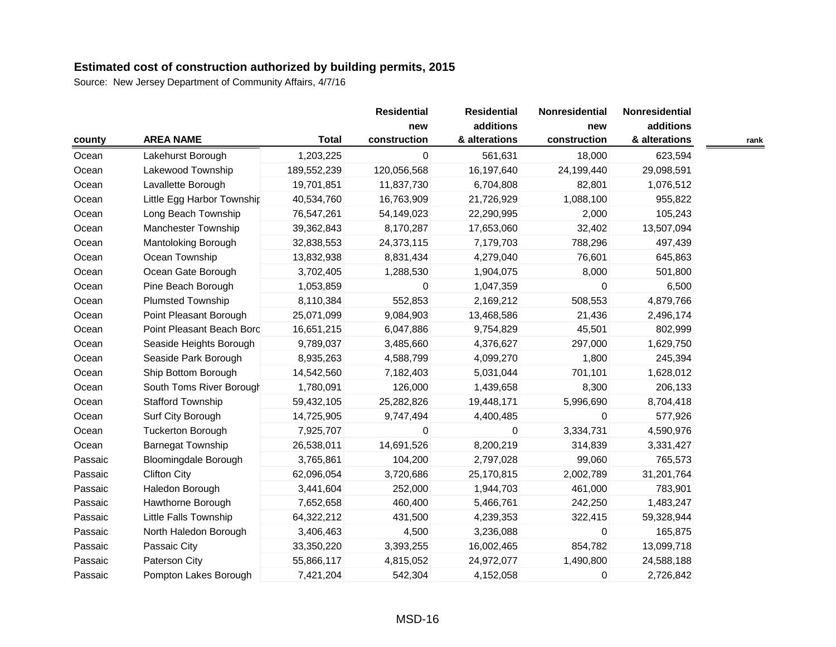|         |                             |                  | <b>Residential</b> | <b>Residential</b>  | Nonresidential             | Nonresidential      |                            |      |
|---------|-----------------------------|------------------|--------------------|---------------------|----------------------------|---------------------|----------------------------|------|
| county  |                             | <b>AREA NAME</b> | <b>Total</b>       | new<br>construction | additions<br>& alterations | new<br>construction | additions<br>& alterations | rank |
| Ocean   | Lakehurst Borough           | 1,203,225        | 0                  | 561,631             | 18,000                     | 623,594             |                            |      |
| Ocean   | Lakewood Township           | 189,552,239      | 120,056,568        | 16,197,640          | 24,199,440                 | 29,098,591          |                            |      |
| Ocean   | Lavallette Borough          | 19,701,851       | 11,837,730         | 6,704,808           | 82,801                     | 1,076,512           |                            |      |
| Ocean   | Little Egg Harbor Township  | 40,534,760       | 16,763,909         | 21,726,929          | 1,088,100                  | 955,822             |                            |      |
| Ocean   | Long Beach Township         | 76,547,261       | 54,149,023         | 22,290,995          | 2,000                      | 105,243             |                            |      |
| Ocean   | Manchester Township         | 39,362,843       | 8,170,287          | 17,653,060          | 32,402                     | 13,507,094          |                            |      |
| Ocean   | <b>Mantoloking Borough</b>  | 32,838,553       | 24,373,115         | 7,179,703           | 788,296                    | 497,439             |                            |      |
| Ocean   | Ocean Township              | 13,832,938       | 8,831,434          | 4,279,040           | 76,601                     | 645,863             |                            |      |
| Ocean   | Ocean Gate Borough          | 3,702,405        | 1,288,530          | 1,904,075           | 8,000                      | 501,800             |                            |      |
| Ocean   | Pine Beach Borough          | 1,053,859        | 0                  | 1,047,359           | $\Omega$                   | 6,500               |                            |      |
| Ocean   | <b>Plumsted Township</b>    | 8,110,384        | 552,853            | 2,169,212           | 508,553                    | 4,879,766           |                            |      |
| Ocean   | Point Pleasant Borough      | 25,071,099       | 9,084,903          | 13,468,586          | 21,436                     | 2,496,174           |                            |      |
| Ocean   | Point Pleasant Beach Bord   | 16,651,215       | 6,047,886          | 9,754,829           | 45,501                     | 802,999             |                            |      |
| Ocean   | Seaside Heights Borough     | 9,789,037        | 3,485,660          | 4,376,627           | 297,000                    | 1,629,750           |                            |      |
| Ocean   | Seaside Park Borough        | 8,935,263        | 4,588,799          | 4,099,270           | 1,800                      | 245,394             |                            |      |
| Ocean   | Ship Bottom Borough         | 14,542,560       | 7,182,403          | 5,031,044           | 701,101                    | 1,628,012           |                            |      |
| Ocean   | South Toms River Borough    | 1,780,091        | 126,000            | 1,439,658           | 8,300                      | 206,133             |                            |      |
| Ocean   | <b>Stafford Township</b>    | 59,432,105       | 25,282,826         | 19,448,171          | 5,996,690                  | 8,704,418           |                            |      |
| Ocean   | Surf City Borough           | 14,725,905       | 9,747,494          | 4,400,485           | $\mathbf 0$                | 577,926             |                            |      |
| Ocean   | <b>Tuckerton Borough</b>    | 7,925,707        | 0                  | $\mathbf{0}$        | 3,334,731                  | 4,590,976           |                            |      |
| Ocean   | <b>Barnegat Township</b>    | 26,538,011       | 14,691,526         | 8,200,219           | 314,839                    | 3,331,427           |                            |      |
| Passaic | <b>Bloomingdale Borough</b> | 3,765,861        | 104,200            | 2,797,028           | 99,060                     | 765,573             |                            |      |
| Passaic | <b>Clifton City</b>         | 62,096,054       | 3,720,686          | 25,170,815          | 2,002,789                  | 31,201,764          |                            |      |
| Passaic | Haledon Borough             | 3,441,604        | 252,000            | 1,944,703           | 461,000                    | 783,901             |                            |      |
| Passaic | Hawthorne Borough           | 7,652,658        | 460,400            | 5,466,761           | 242,250                    | 1,483,247           |                            |      |
| Passaic | Little Falls Township       | 64,322,212       | 431,500            | 4,239,353           | 322,415                    | 59,328,944          |                            |      |
| Passaic | North Haledon Borough       | 3,406,463        | 4,500              | 3,236,088           | $\mathbf 0$                | 165,875             |                            |      |
| Passaic | Passaic City                | 33,350,220       | 3,393,255          | 16,002,465          | 854,782                    | 13,099,718          |                            |      |
| Passaic | Paterson City               | 55,866,117       | 4,815,052          | 24,972,077          | 1,490,800                  | 24,588,188          |                            |      |
| Passaic | Pompton Lakes Borough       | 7,421,204        | 542,304            | 4,152,058           | $\mathbf 0$                | 2,726,842           |                            |      |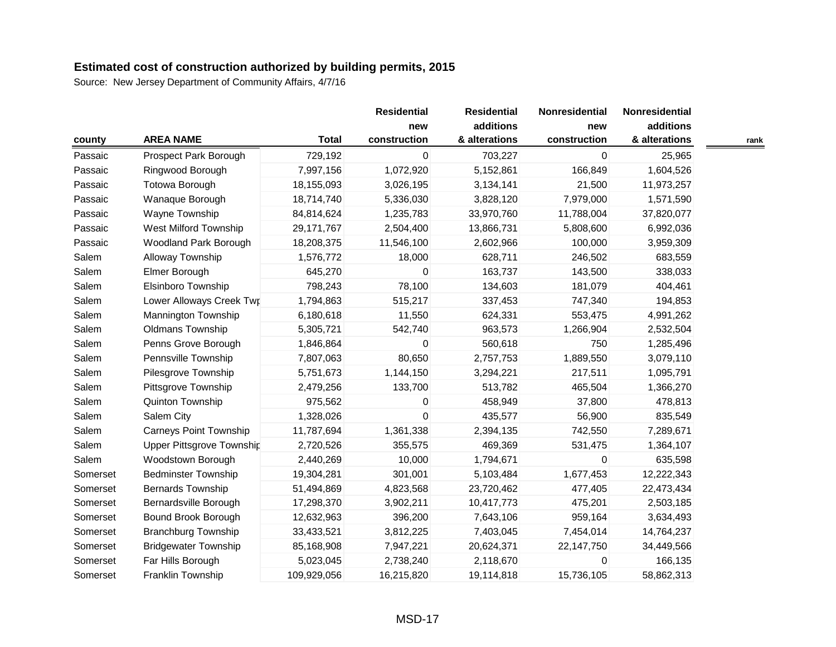|          |                               |              | <b>Residential</b> | <b>Residential</b> | Nonresidential | Nonresidential |      |
|----------|-------------------------------|--------------|--------------------|--------------------|----------------|----------------|------|
|          |                               |              | new                | additions          | new            | additions      |      |
| county   | <b>AREA NAME</b>              | <b>Total</b> | construction       | & alterations      | construction   | & alterations  | rank |
| Passaic  | Prospect Park Borough         | 729,192      | 0                  | 703,227            | 0              | 25,965         |      |
| Passaic  | Ringwood Borough              | 7,997,156    | 1,072,920          | 5,152,861          | 166,849        | 1,604,526      |      |
| Passaic  | <b>Totowa Borough</b>         | 18,155,093   | 3,026,195          | 3,134,141          | 21,500         | 11,973,257     |      |
| Passaic  | Wanaque Borough               | 18,714,740   | 5,336,030          | 3,828,120          | 7,979,000      | 1,571,590      |      |
| Passaic  | Wayne Township                | 84,814,624   | 1,235,783          | 33,970,760         | 11,788,004     | 37,820,077     |      |
| Passaic  | West Milford Township         | 29,171,767   | 2,504,400          | 13,866,731         | 5,808,600      | 6,992,036      |      |
| Passaic  | Woodland Park Borough         | 18,208,375   | 11,546,100         | 2,602,966          | 100,000        | 3,959,309      |      |
| Salem    | Alloway Township              | 1,576,772    | 18,000             | 628,711            | 246,502        | 683,559        |      |
| Salem    | Elmer Borough                 | 645,270      | 0                  | 163,737            | 143,500        | 338,033        |      |
| Salem    | <b>Elsinboro Township</b>     | 798,243      | 78,100             | 134,603            | 181,079        | 404,461        |      |
| Salem    | Lower Alloways Creek Twr      | 1,794,863    | 515,217            | 337,453            | 747,340        | 194,853        |      |
| Salem    | <b>Mannington Township</b>    | 6,180,618    | 11,550             | 624,331            | 553,475        | 4,991,262      |      |
| Salem    | Oldmans Township              | 5,305,721    | 542,740            | 963,573            | 1,266,904      | 2,532,504      |      |
| Salem    | Penns Grove Borough           | 1,846,864    | 0                  | 560,618            | 750            | 1,285,496      |      |
| Salem    | Pennsville Township           | 7,807,063    | 80,650             | 2,757,753          | 1,889,550      | 3,079,110      |      |
| Salem    | Pilesgrove Township           | 5,751,673    | 1,144,150          | 3,294,221          | 217,511        | 1,095,791      |      |
| Salem    | Pittsgrove Township           | 2,479,256    | 133,700            | 513,782            | 465,504        | 1,366,270      |      |
| Salem    | Quinton Township              | 975,562      | 0                  | 458,949            | 37,800         | 478,813        |      |
| Salem    | Salem City                    | 1,328,026    | 0                  | 435,577            | 56,900         | 835,549        |      |
| Salem    | <b>Carneys Point Township</b> | 11,787,694   | 1,361,338          | 2,394,135          | 742,550        | 7,289,671      |      |
| Salem    | Upper Pittsgrove Township     | 2,720,526    | 355,575            | 469,369            | 531,475        | 1,364,107      |      |
| Salem    | Woodstown Borough             | 2,440,269    | 10,000             | 1,794,671          | 0              | 635,598        |      |
| Somerset | <b>Bedminster Township</b>    | 19,304,281   | 301,001            | 5,103,484          | 1,677,453      | 12,222,343     |      |
| Somerset | <b>Bernards Township</b>      | 51,494,869   | 4,823,568          | 23,720,462         | 477,405        | 22,473,434     |      |
| Somerset | Bernardsville Borough         | 17,298,370   | 3,902,211          | 10,417,773         | 475,201        | 2,503,185      |      |
| Somerset | Bound Brook Borough           | 12,632,963   | 396,200            | 7,643,106          | 959,164        | 3,634,493      |      |
| Somerset | <b>Branchburg Township</b>    | 33,433,521   | 3,812,225          | 7,403,045          | 7,454,014      | 14,764,237     |      |
| Somerset | <b>Bridgewater Township</b>   | 85,168,908   | 7,947,221          | 20,624,371         | 22,147,750     | 34,449,566     |      |
| Somerset | Far Hills Borough             | 5,023,045    | 2,738,240          | 2,118,670          | 0              | 166,135        |      |
| Somerset | Franklin Township             | 109,929,056  | 16,215,820         | 19,114,818         | 15,736,105     | 58,862,313     |      |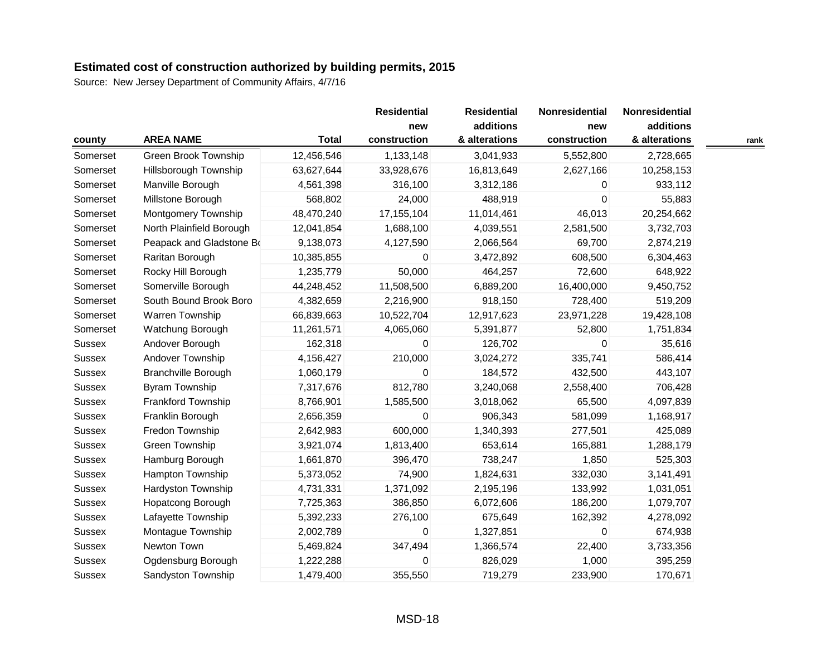|               |                            |              | <b>Residential</b> | <b>Residential</b> | Nonresidential | Nonresidential |  |
|---------------|----------------------------|--------------|--------------------|--------------------|----------------|----------------|--|
|               |                            |              | new                | additions          | new            | additions      |  |
| county        | <b>AREA NAME</b>           | <b>Total</b> | construction       | & alterations      | construction   | & alterations  |  |
| Somerset      | Green Brook Township       | 12,456,546   | 1,133,148          | 3,041,933          | 5,552,800      | 2,728,665      |  |
| Somerset      | Hillsborough Township      | 63,627,644   | 33,928,676         | 16,813,649         | 2,627,166      | 10,258,153     |  |
| Somerset      | Manville Borough           | 4,561,398    | 316,100            | 3,312,186          | $\mathbf 0$    | 933,112        |  |
| Somerset      | Millstone Borough          | 568,802      | 24,000             | 488,919            | $\Omega$       | 55,883         |  |
| Somerset      | Montgomery Township        | 48,470,240   | 17, 155, 104       | 11,014,461         | 46,013         | 20,254,662     |  |
| Somerset      | North Plainfield Borough   | 12,041,854   | 1,688,100          | 4,039,551          | 2,581,500      | 3,732,703      |  |
| Somerset      | Peapack and Gladstone Bo   | 9,138,073    | 4,127,590          | 2,066,564          | 69,700         | 2,874,219      |  |
| Somerset      | Raritan Borough            | 10,385,855   | 0                  | 3,472,892          | 608,500        | 6,304,463      |  |
| Somerset      | Rocky Hill Borough         | 1,235,779    | 50,000             | 464,257            | 72,600         | 648,922        |  |
| Somerset      | Somerville Borough         | 44,248,452   | 11,508,500         | 6,889,200          | 16,400,000     | 9,450,752      |  |
| Somerset      | South Bound Brook Boro     | 4,382,659    | 2,216,900          | 918,150            | 728,400        | 519,209        |  |
| Somerset      | Warren Township            | 66,839,663   | 10,522,704         | 12,917,623         | 23,971,228     | 19,428,108     |  |
| Somerset      | Watchung Borough           | 11,261,571   | 4,065,060          | 5,391,877          | 52,800         | 1,751,834      |  |
| Sussex        | Andover Borough            | 162,318      | 0                  | 126,702            | $\Omega$       | 35,616         |  |
| Sussex        | Andover Township           | 4,156,427    | 210,000            | 3,024,272          | 335,741        | 586,414        |  |
| Sussex        | <b>Branchville Borough</b> | 1,060,179    | 0                  | 184,572            | 432,500        | 443,107        |  |
| Sussex        | Byram Township             | 7,317,676    | 812,780            | 3,240,068          | 2,558,400      | 706,428        |  |
| Sussex        | Frankford Township         | 8,766,901    | 1,585,500          | 3,018,062          | 65,500         | 4,097,839      |  |
| <b>Sussex</b> | Franklin Borough           | 2,656,359    | 0                  | 906,343            | 581,099        | 1,168,917      |  |
| Sussex        | Fredon Township            | 2,642,983    | 600,000            | 1,340,393          | 277,501        | 425,089        |  |
| <b>Sussex</b> | Green Township             | 3,921,074    | 1,813,400          | 653,614            | 165,881        | 1,288,179      |  |
| Sussex        | Hamburg Borough            | 1,661,870    | 396,470            | 738,247            | 1,850          | 525,303        |  |
| Sussex        | Hampton Township           | 5,373,052    | 74,900             | 1,824,631          | 332,030        | 3,141,491      |  |
| Sussex        | Hardyston Township         | 4,731,331    | 1,371,092          | 2,195,196          | 133,992        | 1,031,051      |  |
| Sussex        | Hopatcong Borough          | 7,725,363    | 386,850            | 6,072,606          | 186,200        | 1,079,707      |  |
| Sussex        | Lafayette Township         | 5,392,233    | 276,100            | 675,649            | 162,392        | 4,278,092      |  |
| Sussex        | Montague Township          | 2,002,789    | 0                  | 1,327,851          | $\mathbf 0$    | 674,938        |  |
| Sussex        | Newton Town                | 5,469,824    | 347,494            | 1,366,574          | 22,400         | 3,733,356      |  |
| Sussex        | Ogdensburg Borough         | 1,222,288    | 0                  | 826,029            | 1,000          | 395,259        |  |
| <b>Sussex</b> | Sandyston Township         | 1,479,400    | 355,550            | 719,279            | 233,900        | 170,671        |  |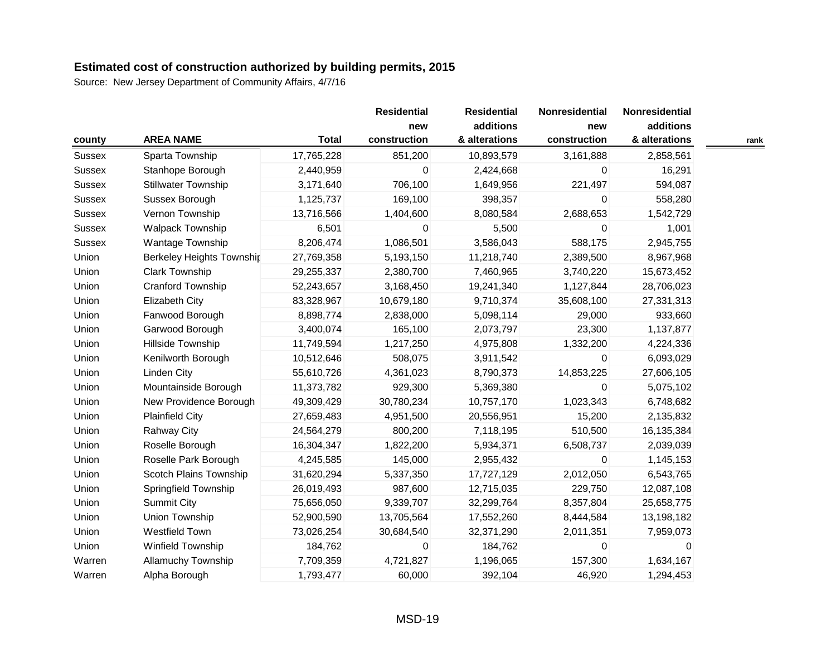|               |                                  |              | <b>Residential</b>  | <b>Residential</b>         | Nonresidential      | Nonresidential             |      |
|---------------|----------------------------------|--------------|---------------------|----------------------------|---------------------|----------------------------|------|
| county        | <b>AREA NAME</b>                 | <b>Total</b> | new<br>construction | additions<br>& alterations | new<br>construction | additions<br>& alterations | rank |
| Sussex        | Sparta Township                  | 17,765,228   | 851,200             | 10,893,579                 | 3,161,888           | 2,858,561                  |      |
| Sussex        | Stanhope Borough                 | 2,440,959    | 0                   | 2,424,668                  | 0                   | 16,291                     |      |
| Sussex        | <b>Stillwater Township</b>       | 3,171,640    | 706,100             | 1,649,956                  | 221,497             | 594,087                    |      |
| Sussex        | Sussex Borough                   | 1,125,737    | 169,100             | 398,357                    | 0                   | 558,280                    |      |
| Sussex        | Vernon Township                  | 13,716,566   | 1,404,600           | 8,080,584                  | 2,688,653           | 1,542,729                  |      |
| Sussex        | <b>Walpack Township</b>          | 6,501        | 0                   | 5,500                      | 0                   | 1,001                      |      |
| <b>Sussex</b> | Wantage Township                 | 8,206,474    | 1,086,501           | 3,586,043                  | 588,175             | 2,945,755                  |      |
| Union         | <b>Berkeley Heights Township</b> | 27,769,358   | 5,193,150           | 11,218,740                 | 2,389,500           | 8,967,968                  |      |
| Union         | <b>Clark Township</b>            | 29,255,337   | 2,380,700           | 7,460,965                  | 3,740,220           | 15,673,452                 |      |
| Union         | Cranford Township                | 52,243,657   | 3,168,450           | 19,241,340                 | 1,127,844           | 28,706,023                 |      |
| Union         | Elizabeth City                   | 83,328,967   | 10,679,180          | 9,710,374                  | 35,608,100          | 27,331,313                 |      |
| Union         | Fanwood Borough                  | 8,898,774    | 2,838,000           | 5,098,114                  | 29,000              | 933,660                    |      |
| Union         | Garwood Borough                  | 3,400,074    | 165,100             | 2,073,797                  | 23,300              | 1,137,877                  |      |
| Union         | Hillside Township                | 11,749,594   | 1,217,250           | 4,975,808                  | 1,332,200           | 4,224,336                  |      |
| Union         | Kenilworth Borough               | 10,512,646   | 508,075             | 3,911,542                  | 0                   | 6,093,029                  |      |
| Union         | Linden City                      | 55,610,726   | 4,361,023           | 8,790,373                  | 14,853,225          | 27,606,105                 |      |
| Union         | Mountainside Borough             | 11,373,782   | 929,300             | 5,369,380                  | $\mathbf 0$         | 5,075,102                  |      |
| Union         | New Providence Borough           | 49,309,429   | 30,780,234          | 10,757,170                 | 1,023,343           | 6,748,682                  |      |
| Union         | <b>Plainfield City</b>           | 27,659,483   | 4,951,500           | 20,556,951                 | 15,200              | 2,135,832                  |      |
| Union         | <b>Rahway City</b>               | 24,564,279   | 800,200             | 7,118,195                  | 510,500             | 16,135,384                 |      |
| Union         | Roselle Borough                  | 16,304,347   | 1,822,200           | 5,934,371                  | 6,508,737           | 2,039,039                  |      |
| Union         | Roselle Park Borough             | 4,245,585    | 145,000             | 2,955,432                  | 0                   | 1,145,153                  |      |
| Union         | Scotch Plains Township           | 31,620,294   | 5,337,350           | 17,727,129                 | 2,012,050           | 6,543,765                  |      |
| Union         | Springfield Township             | 26,019,493   | 987,600             | 12,715,035                 | 229,750             | 12,087,108                 |      |
| Union         | <b>Summit City</b>               | 75,656,050   | 9,339,707           | 32,299,764                 | 8,357,804           | 25,658,775                 |      |
| Union         | <b>Union Township</b>            | 52,900,590   | 13,705,564          | 17,552,260                 | 8,444,584           | 13,198,182                 |      |
| Union         | <b>Westfield Town</b>            | 73,026,254   | 30,684,540          | 32,371,290                 | 2,011,351           | 7,959,073                  |      |
| Union         | Winfield Township                | 184,762      | 0                   | 184,762                    | $\Omega$            | $\Omega$                   |      |
| Warren        | <b>Allamuchy Township</b>        | 7,709,359    | 4,721,827           | 1,196,065                  | 157,300             | 1,634,167                  |      |
| Warren        | Alpha Borough                    | 1,793,477    | 60,000              | 392,104                    | 46,920              | 1,294,453                  |      |